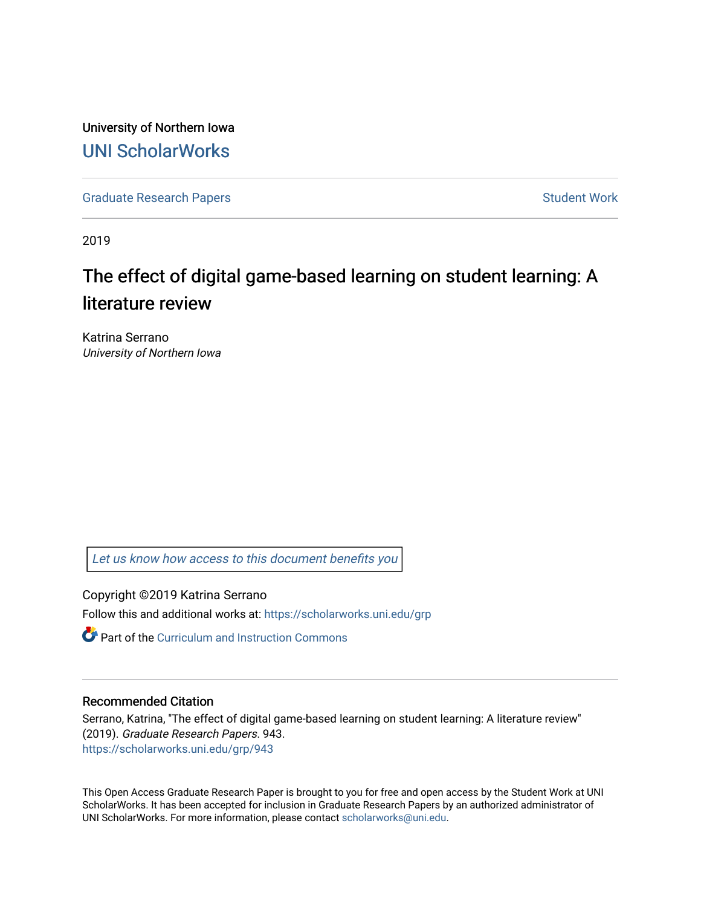University of Northern Iowa [UNI ScholarWorks](https://scholarworks.uni.edu/) 

[Graduate Research Papers](https://scholarworks.uni.edu/grp) **Student Work** Student Work

2019

# The effect of digital game-based learning on student learning: A literature review

Katrina Serrano University of Northern Iowa

[Let us know how access to this document benefits you](https://scholarworks.uni.edu/feedback_form.html) 

Copyright ©2019 Katrina Serrano

Follow this and additional works at: [https://scholarworks.uni.edu/grp](https://scholarworks.uni.edu/grp?utm_source=scholarworks.uni.edu%2Fgrp%2F943&utm_medium=PDF&utm_campaign=PDFCoverPages) 

Part of the [Curriculum and Instruction Commons](http://network.bepress.com/hgg/discipline/786?utm_source=scholarworks.uni.edu%2Fgrp%2F943&utm_medium=PDF&utm_campaign=PDFCoverPages) 

### Recommended Citation

Serrano, Katrina, "The effect of digital game-based learning on student learning: A literature review" (2019). Graduate Research Papers. 943. [https://scholarworks.uni.edu/grp/943](https://scholarworks.uni.edu/grp/943?utm_source=scholarworks.uni.edu%2Fgrp%2F943&utm_medium=PDF&utm_campaign=PDFCoverPages) 

This Open Access Graduate Research Paper is brought to you for free and open access by the Student Work at UNI ScholarWorks. It has been accepted for inclusion in Graduate Research Papers by an authorized administrator of UNI ScholarWorks. For more information, please contact [scholarworks@uni.edu.](mailto:scholarworks@uni.edu)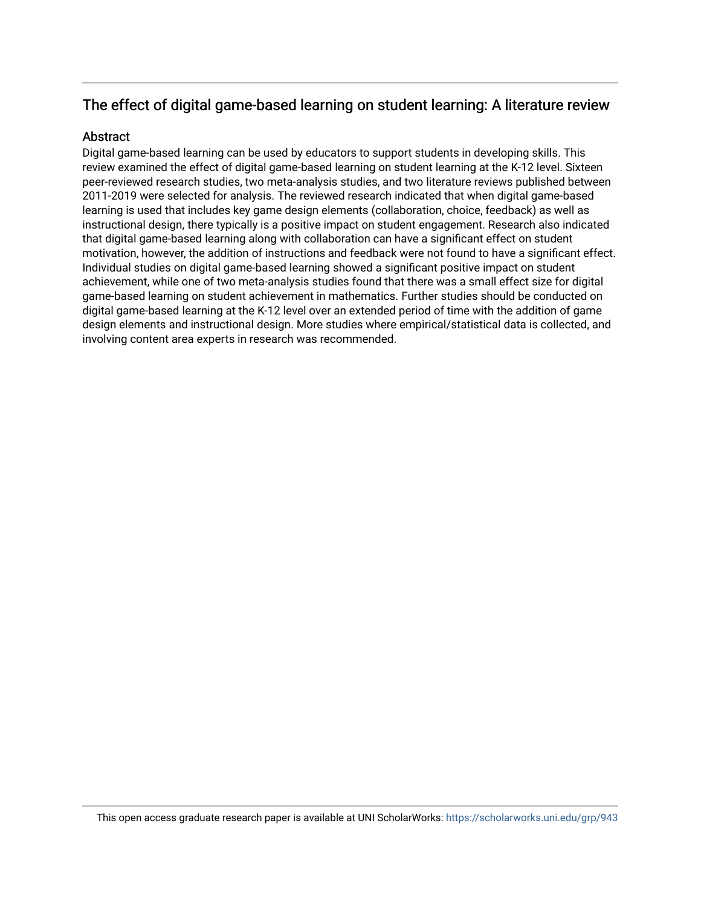# The effect of digital game-based learning on student learning: A literature review

## Abstract

Digital game-based learning can be used by educators to support students in developing skills. This review examined the effect of digital game-based learning on student learning at the K-12 level. Sixteen peer-reviewed research studies, two meta-analysis studies, and two literature reviews published between 2011-2019 were selected for analysis. The reviewed research indicated that when digital game-based learning is used that includes key game design elements (collaboration, choice, feedback) as well as instructional design, there typically is a positive impact on student engagement. Research also indicated that digital game-based learning along with collaboration can have a significant effect on student motivation, however, the addition of instructions and feedback were not found to have a significant effect. Individual studies on digital game-based learning showed a significant positive impact on student achievement, while one of two meta-analysis studies found that there was a small effect size for digital game-based learning on student achievement in mathematics. Further studies should be conducted on digital game-based learning at the K-12 level over an extended period of time with the addition of game design elements and instructional design. More studies where empirical/statistical data is collected, and involving content area experts in research was recommended.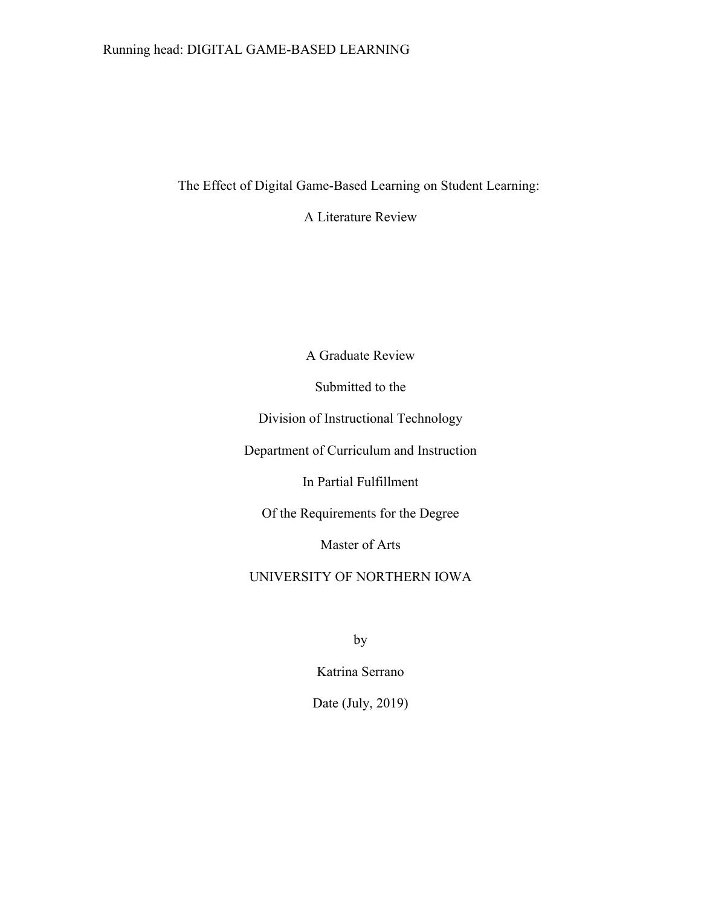# Running head: DIGITAL GAME-BASED LEARNING

The Effect of Digital Game-Based Learning on Student Learning:

A Literature Review

A Graduate Review

Submitted to the

Division of Instructional Technology

Department of Curriculum and Instruction

In Partial Fulfillment

Of the Requirements for the Degree

Master of Arts

UNIVERSITY OF NORTHERN IOWA

by

Katrina Serrano

Date (July, 2019)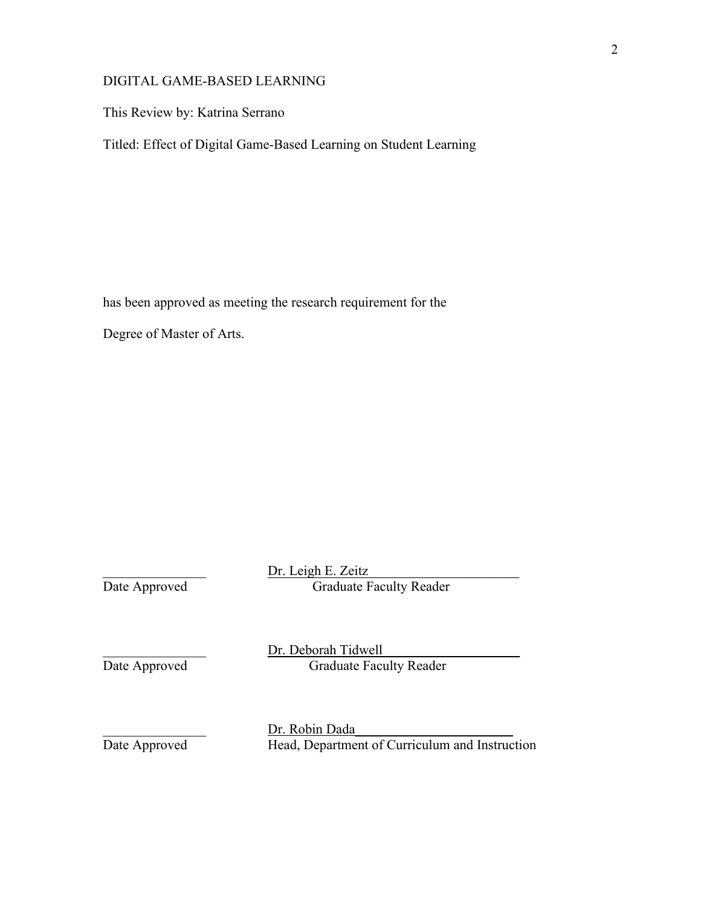This Review by: Katrina Serrano

Titled: Effect of Digital Game-Based Learning on Student Learning

has been approved as meeting the research requirement for the

Degree of Master of Arts.

Dr. Leigh E. Zeitz Date Approved Graduate Faculty Reader Dr. Deborah Tidwell<br>Date Approved Graduate Facu Graduate Faculty Reader \_\_\_\_\_\_\_\_\_\_\_\_\_\_\_ Dr. Robin Dada\_\_\_\_\_\_\_\_\_\_\_\_\_\_\_\_\_\_\_\_\_\_\_ Date Approved Head, Department of Curriculum and Instruction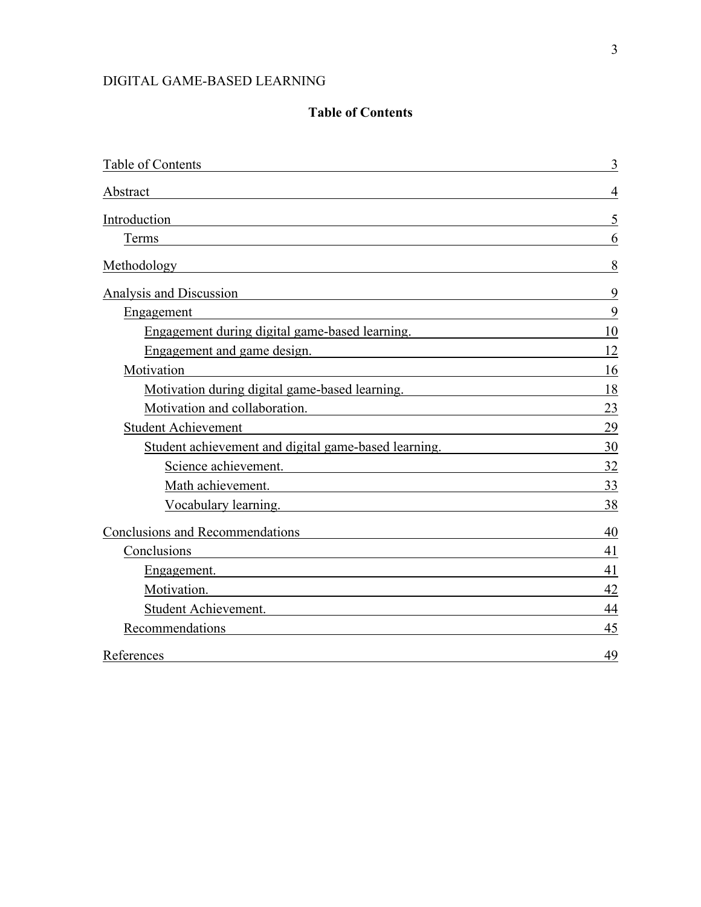# **Table of Contents**

| Table of Contents                                                                                                                                                                                                              | 3             |
|--------------------------------------------------------------------------------------------------------------------------------------------------------------------------------------------------------------------------------|---------------|
| Abstract                                                                                                                                                                                                                       |               |
| Introduction<br>and the control of the control of the control of the control of the control of the control of the control of the                                                                                               |               |
| Terms                                                                                                                                                                                                                          |               |
| Methodology<br><u> 1989 - Johann Stoff, deutscher Stoffen und der Stoffen und der Stoffen und der Stoffen und der Stoffen und de</u>                                                                                           | 8             |
| Analysis and Discussion<br><u> 1989 - Johann Stein, marwolaethau a bhann an t-Amhainn an t-Amhainn an t-Amhainn an t-Amhainn an t-Amhainn a</u>                                                                                | 9             |
| Engagement                                                                                                                                                                                                                     | 9             |
| Engagement during digital game-based learning.                                                                                                                                                                                 | 10            |
| Engagement and game design.                                                                                                                                                                                                    | 12            |
| Motivation<br><u> 1980 - Johann Stoff, Amerikaansk politiker († 1908)</u>                                                                                                                                                      | <sup>16</sup> |
| Motivation during digital game-based learning. 18                                                                                                                                                                              |               |
| Motivation and collaboration.                                                                                                                                                                                                  | 23            |
| <b>Student Achievement</b>                                                                                                                                                                                                     | 29            |
| Student achievement and digital game-based learning.                                                                                                                                                                           | 30            |
| Science achievement.                                                                                                                                                                                                           | 32            |
| Math achievement.                                                                                                                                                                                                              | 33            |
| Vocabulary learning.                                                                                                                                                                                                           | 38            |
| Conclusions and Recommendations expansion of the contract of the contract of the contract of the contract of the contract of the contract of the contract of the contract of the contract of the contract of the contract of t | 40            |
| Conclusions<br><u> 1989 - Johann Barbara, martxa al III-lea (h. 1989).</u>                                                                                                                                                     | 41            |
| Engagement.                                                                                                                                                                                                                    | 41            |
| Motivation.                                                                                                                                                                                                                    | 42            |
| Student Achievement.                                                                                                                                                                                                           | 44            |
| Recommendations                                                                                                                                                                                                                | 45            |
| References                                                                                                                                                                                                                     | 49            |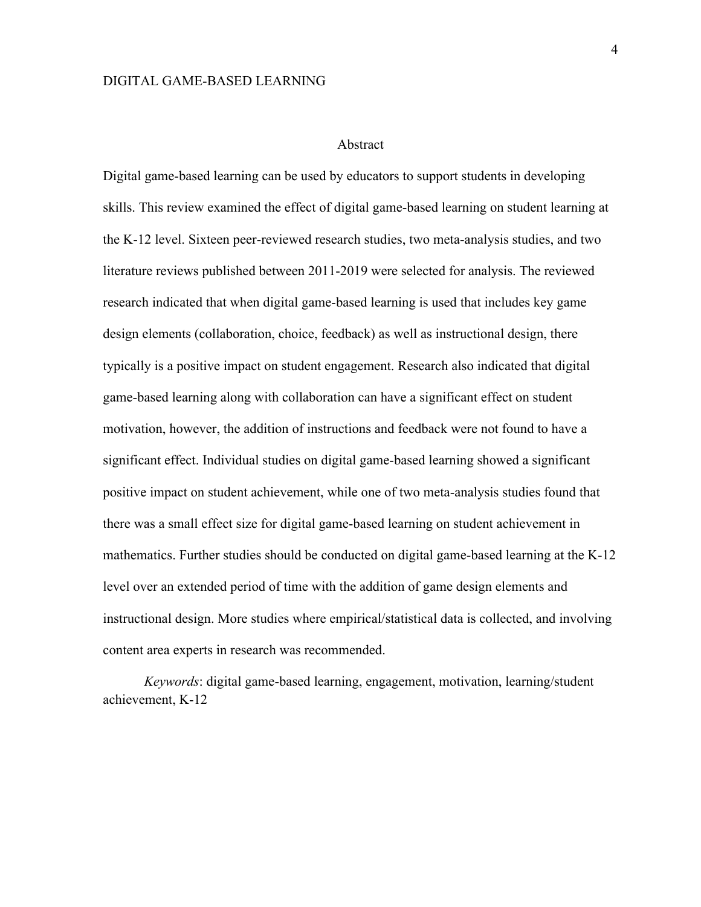#### Abstract

Digital game-based learning can be used by educators to support students in developing skills. This review examined the effect of digital game-based learning on student learning at the K-12 level. Sixteen peer-reviewed research studies, two meta-analysis studies, and two literature reviews published between 2011-2019 were selected for analysis. The reviewed research indicated that when digital game-based learning is used that includes key game design elements (collaboration, choice, feedback) as well as instructional design, there typically is a positive impact on student engagement. Research also indicated that digital game-based learning along with collaboration can have a significant effect on student motivation, however, the addition of instructions and feedback were not found to have a significant effect. Individual studies on digital game-based learning showed a significant positive impact on student achievement, while one of two meta-analysis studies found that there was a small effect size for digital game-based learning on student achievement in mathematics. Further studies should be conducted on digital game-based learning at the K-12 level over an extended period of time with the addition of game design elements and instructional design. More studies where empirical/statistical data is collected, and involving content area experts in research was recommended.

*Keywords*: digital game-based learning, engagement, motivation, learning/student achievement, K-12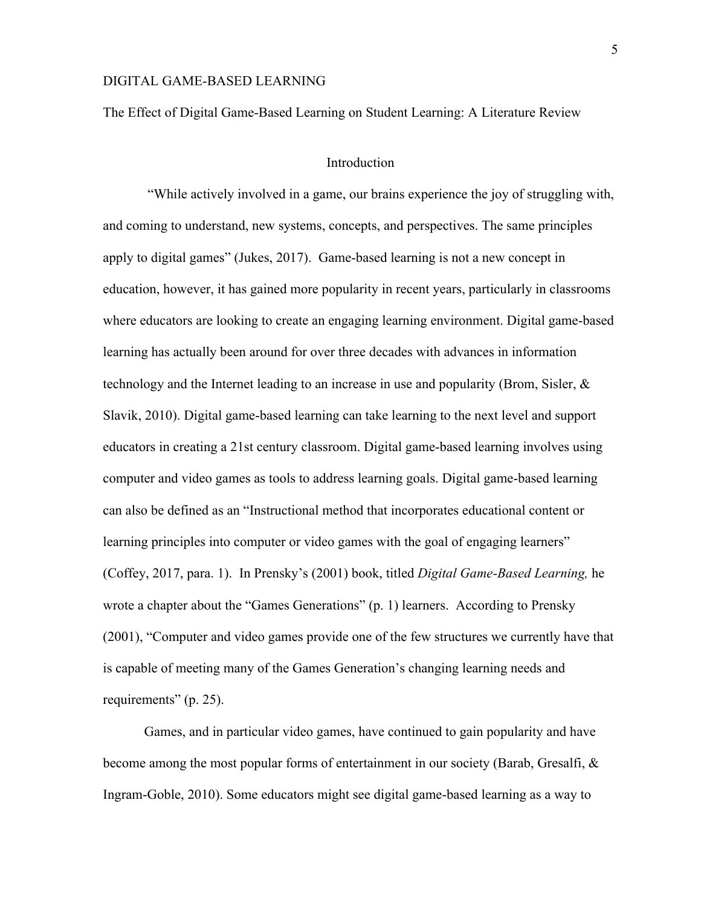The Effect of Digital Game-Based Learning on Student Learning: A Literature Review

#### Introduction

 "While actively involved in a game, our brains experience the joy of struggling with, and coming to understand, new systems, concepts, and perspectives. The same principles apply to digital games" (Jukes, 2017). Game-based learning is not a new concept in education, however, it has gained more popularity in recent years, particularly in classrooms where educators are looking to create an engaging learning environment. Digital game-based learning has actually been around for over three decades with advances in information technology and the Internet leading to an increase in use and popularity (Brom, Sisler, & Slavik, 2010). Digital game-based learning can take learning to the next level and support educators in creating a 21st century classroom. Digital game-based learning involves using computer and video games as tools to address learning goals. Digital game-based learning can also be defined as an "Instructional method that incorporates educational content or learning principles into computer or video games with the goal of engaging learners" (Coffey, 2017, para. 1). In Prensky's (2001) book, titled *Digital Game-Based Learning,* he wrote a chapter about the "Games Generations" (p. 1) learners. According to Prensky (2001), "Computer and video games provide one of the few structures we currently have that is capable of meeting many of the Games Generation's changing learning needs and requirements" (p. 25).

Games, and in particular video games, have continued to gain popularity and have become among the most popular forms of entertainment in our society (Barab, Gresalfi, & Ingram-Goble, 2010). Some educators might see digital game-based learning as a way to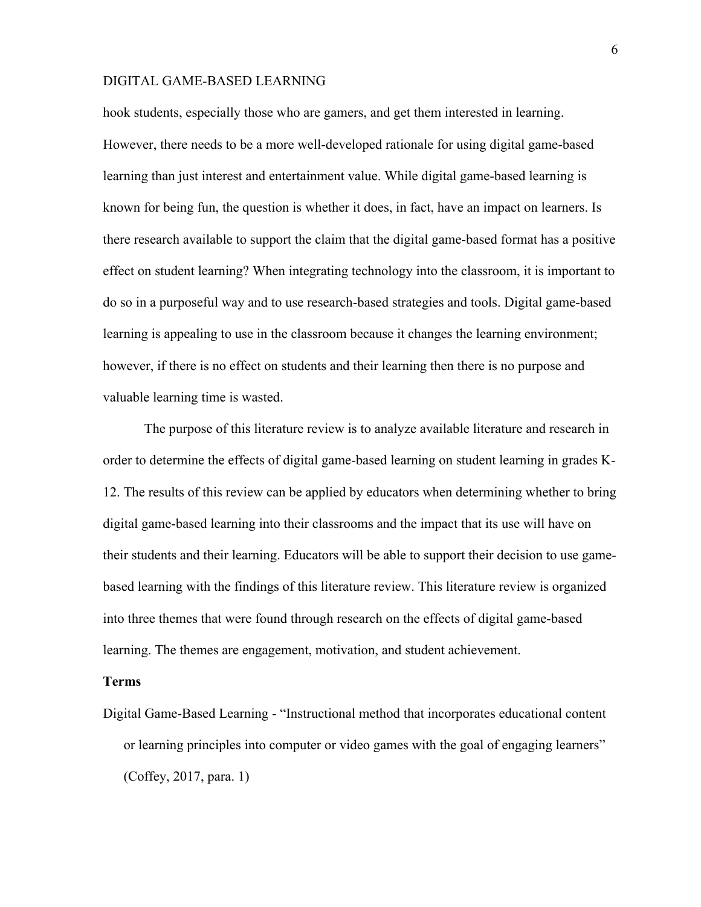hook students, especially those who are gamers, and get them interested in learning. However, there needs to be a more well-developed rationale for using digital game-based learning than just interest and entertainment value. While digital game-based learning is known for being fun, the question is whether it does, in fact, have an impact on learners. Is there research available to support the claim that the digital game-based format has a positive effect on student learning? When integrating technology into the classroom, it is important to do so in a purposeful way and to use research-based strategies and tools. Digital game-based learning is appealing to use in the classroom because it changes the learning environment; however, if there is no effect on students and their learning then there is no purpose and valuable learning time is wasted.

The purpose of this literature review is to analyze available literature and research in order to determine the effects of digital game-based learning on student learning in grades K-12. The results of this review can be applied by educators when determining whether to bring digital game-based learning into their classrooms and the impact that its use will have on their students and their learning. Educators will be able to support their decision to use gamebased learning with the findings of this literature review. This literature review is organized into three themes that were found through research on the effects of digital game-based learning. The themes are engagement, motivation, and student achievement.

### **Terms**

Digital Game-Based Learning - "Instructional method that incorporates educational content or learning principles into computer or video games with the goal of engaging learners" (Coffey, 2017, para. 1)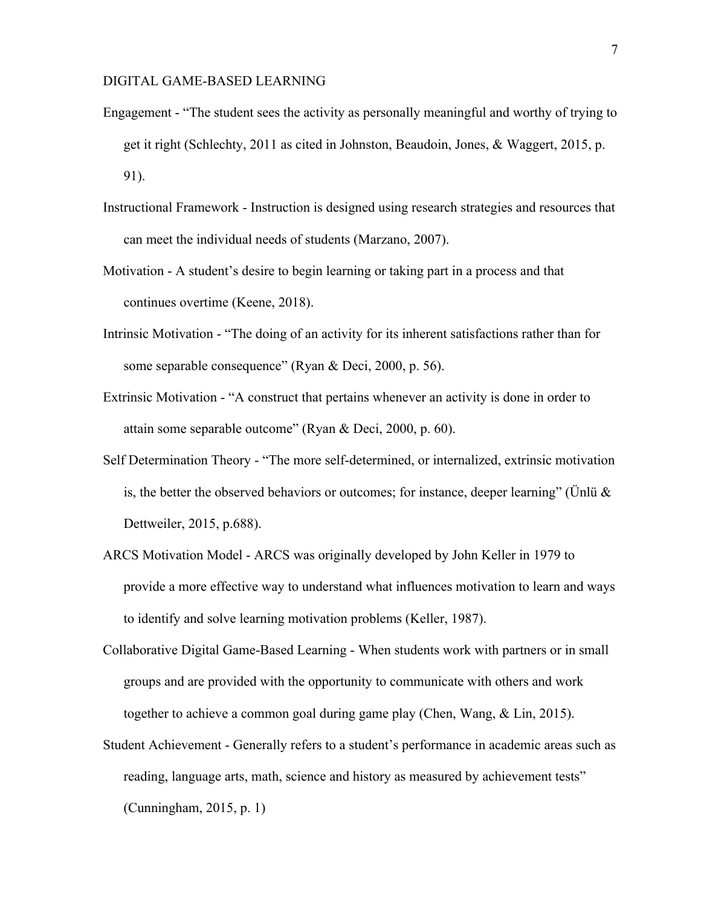- Engagement "The student sees the activity as personally meaningful and worthy of trying to get it right (Schlechty, 2011 as cited in Johnston, Beaudoin, Jones, & Waggert, 2015, p. 91).
- Instructional Framework Instruction is designed using research strategies and resources that can meet the individual needs of students (Marzano, 2007).
- Motivation A student's desire to begin learning or taking part in a process and that continues overtime (Keene, 2018).
- Intrinsic Motivation "The doing of an activity for its inherent satisfactions rather than for some separable consequence" (Ryan & Deci, 2000, p. 56).
- Extrinsic Motivation "A construct that pertains whenever an activity is done in order to attain some separable outcome" (Ryan & Deci, 2000, p. 60).
- Self Determination Theory "The more self-determined, or internalized, extrinsic motivation is, the better the observed behaviors or outcomes; for instance, deeper learning" (Unlü  $\&$ Dettweiler, 2015, p.688).
- ARCS Motivation Model ARCS was originally developed by John Keller in 1979 to provide a more effective way to understand what influences motivation to learn and ways to identify and solve learning motivation problems (Keller, 1987).
- Collaborative Digital Game-Based Learning When students work with partners or in small groups and are provided with the opportunity to communicate with others and work together to achieve a common goal during game play (Chen, Wang, & Lin, 2015).
- Student Achievement Generally refers to a student's performance in academic areas such as reading, language arts, math, science and history as measured by achievement tests" (Cunningham, 2015, p. 1)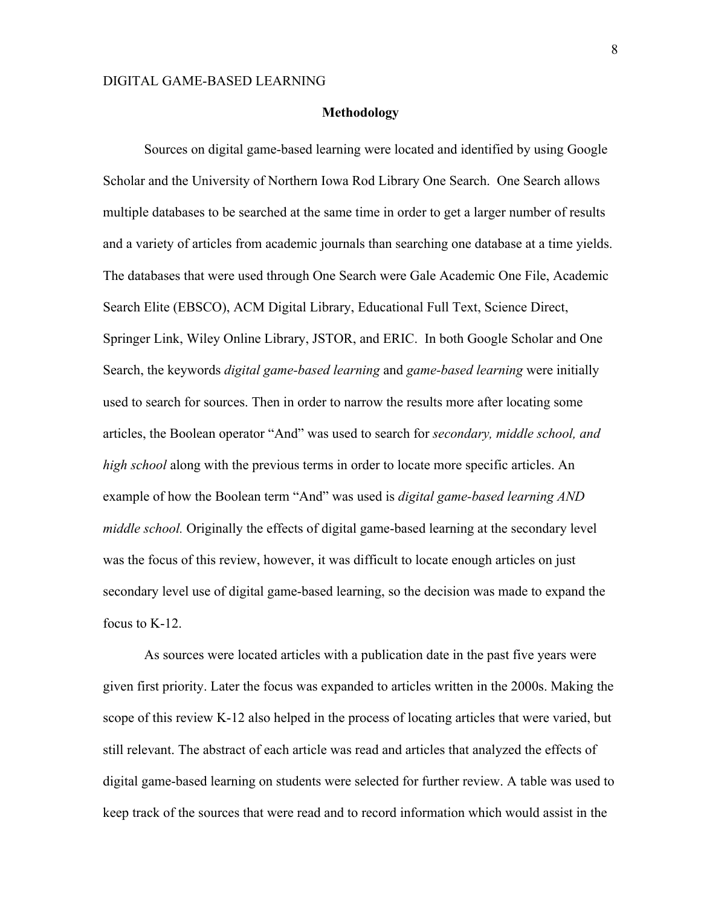#### **Methodology**

Sources on digital game-based learning were located and identified by using Google Scholar and the University of Northern Iowa Rod Library One Search. One Search allows multiple databases to be searched at the same time in order to get a larger number of results and a variety of articles from academic journals than searching one database at a time yields. The databases that were used through One Search were Gale Academic One File, Academic Search Elite (EBSCO), ACM Digital Library, Educational Full Text, Science Direct, Springer Link, Wiley Online Library, JSTOR, and ERIC. In both Google Scholar and One Search, the keywords *digital game-based learning* and *game-based learning* were initially used to search for sources. Then in order to narrow the results more after locating some articles, the Boolean operator "And" was used to search for *secondary, middle school, and high school* along with the previous terms in order to locate more specific articles. An example of how the Boolean term "And" was used is *digital game-based learning AND middle school.* Originally the effects of digital game-based learning at the secondary level was the focus of this review, however, it was difficult to locate enough articles on just secondary level use of digital game-based learning, so the decision was made to expand the focus to K-12.

As sources were located articles with a publication date in the past five years were given first priority. Later the focus was expanded to articles written in the 2000s. Making the scope of this review K-12 also helped in the process of locating articles that were varied, but still relevant. The abstract of each article was read and articles that analyzed the effects of digital game-based learning on students were selected for further review. A table was used to keep track of the sources that were read and to record information which would assist in the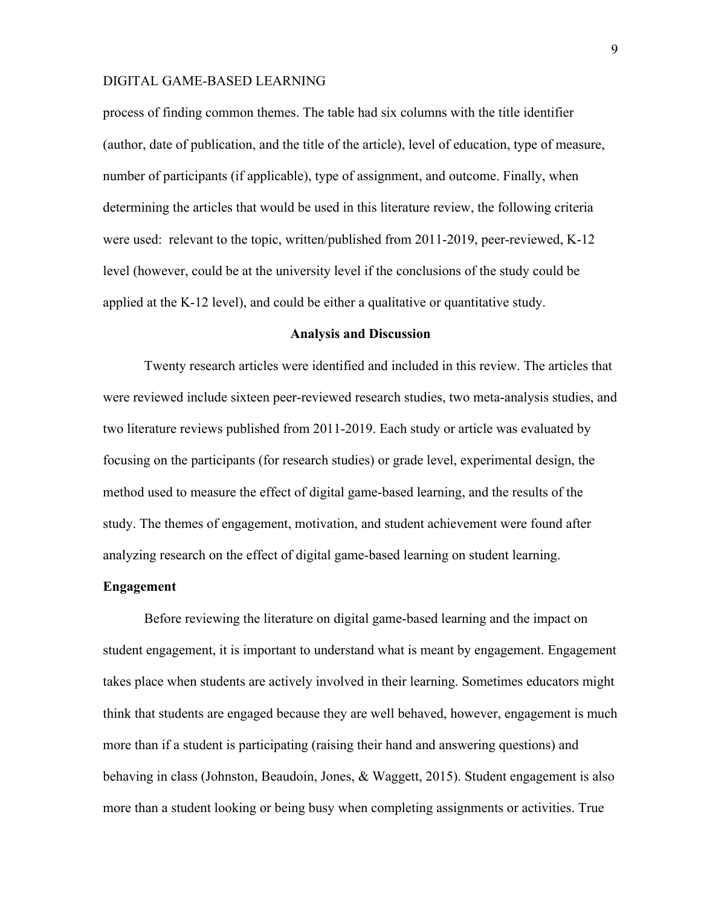process of finding common themes. The table had six columns with the title identifier (author, date of publication, and the title of the article), level of education, type of measure, number of participants (if applicable), type of assignment, and outcome. Finally, when determining the articles that would be used in this literature review, the following criteria were used: relevant to the topic, written/published from 2011-2019, peer-reviewed, K-12 level (however, could be at the university level if the conclusions of the study could be applied at the K-12 level), and could be either a qualitative or quantitative study.

#### **Analysis and Discussion**

Twenty research articles were identified and included in this review. The articles that were reviewed include sixteen peer-reviewed research studies, two meta-analysis studies, and two literature reviews published from 2011-2019. Each study or article was evaluated by focusing on the participants (for research studies) or grade level, experimental design, the method used to measure the effect of digital game-based learning, and the results of the study. The themes of engagement, motivation, and student achievement were found after analyzing research on the effect of digital game-based learning on student learning.

#### **Engagement**

Before reviewing the literature on digital game-based learning and the impact on student engagement, it is important to understand what is meant by engagement. Engagement takes place when students are actively involved in their learning. Sometimes educators might think that students are engaged because they are well behaved, however, engagement is much more than if a student is participating (raising their hand and answering questions) and behaving in class (Johnston, Beaudoin, Jones, & Waggett, 2015). Student engagement is also more than a student looking or being busy when completing assignments or activities. True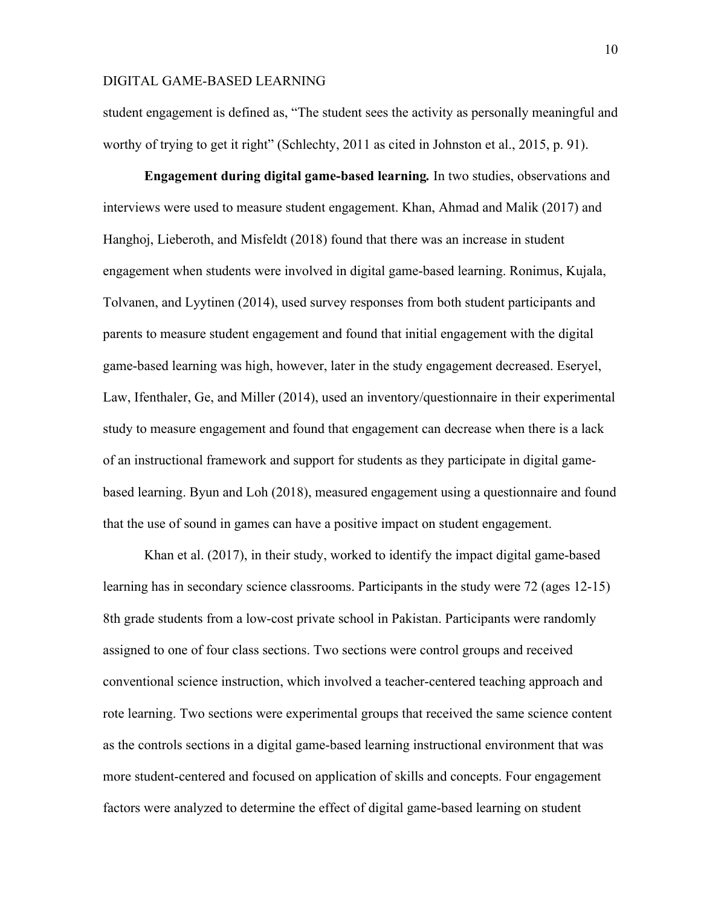student engagement is defined as, "The student sees the activity as personally meaningful and worthy of trying to get it right" (Schlechty, 2011 as cited in Johnston et al., 2015, p. 91).

**Engagement during digital game-based learning***.* In two studies, observations and interviews were used to measure student engagement. Khan, Ahmad and Malik (2017) and Hanghoj, Lieberoth, and Misfeldt (2018) found that there was an increase in student engagement when students were involved in digital game-based learning. Ronimus, Kujala, Tolvanen, and Lyytinen (2014), used survey responses from both student participants and parents to measure student engagement and found that initial engagement with the digital game-based learning was high, however, later in the study engagement decreased. Eseryel, Law, Ifenthaler, Ge, and Miller (2014), used an inventory/questionnaire in their experimental study to measure engagement and found that engagement can decrease when there is a lack of an instructional framework and support for students as they participate in digital gamebased learning. Byun and Loh (2018), measured engagement using a questionnaire and found that the use of sound in games can have a positive impact on student engagement.

Khan et al. (2017), in their study, worked to identify the impact digital game-based learning has in secondary science classrooms. Participants in the study were 72 (ages 12-15) 8th grade students from a low-cost private school in Pakistan. Participants were randomly assigned to one of four class sections. Two sections were control groups and received conventional science instruction, which involved a teacher-centered teaching approach and rote learning. Two sections were experimental groups that received the same science content as the controls sections in a digital game-based learning instructional environment that was more student-centered and focused on application of skills and concepts. Four engagement factors were analyzed to determine the effect of digital game-based learning on student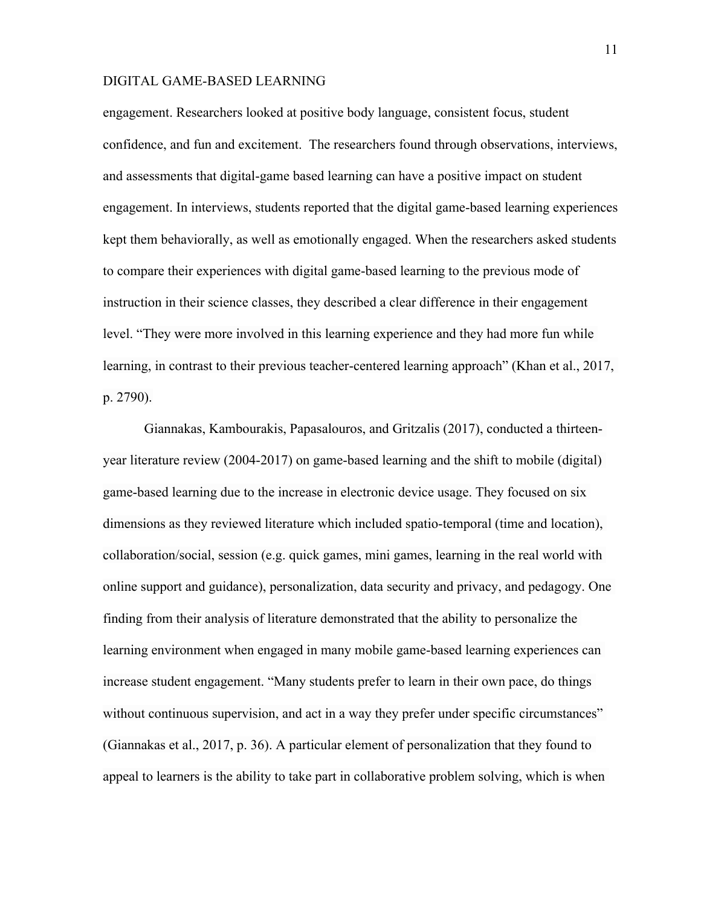engagement. Researchers looked at positive body language, consistent focus, student confidence, and fun and excitement. The researchers found through observations, interviews, and assessments that digital-game based learning can have a positive impact on student engagement. In interviews, students reported that the digital game-based learning experiences kept them behaviorally, as well as emotionally engaged. When the researchers asked students to compare their experiences with digital game-based learning to the previous mode of instruction in their science classes, they described a clear difference in their engagement level. "They were more involved in this learning experience and they had more fun while learning, in contrast to their previous teacher-centered learning approach" (Khan et al., 2017, p. 2790).

Giannakas, Kambourakis, Papasalouros, and Gritzalis (2017), conducted a thirteenyear literature review (2004-2017) on game-based learning and the shift to mobile (digital) game-based learning due to the increase in electronic device usage. They focused on six dimensions as they reviewed literature which included spatio-temporal (time and location), collaboration/social, session (e.g. quick games, mini games, learning in the real world with online support and guidance), personalization, data security and privacy, and pedagogy. One finding from their analysis of literature demonstrated that the ability to personalize the learning environment when engaged in many mobile game-based learning experiences can increase student engagement. "Many students prefer to learn in their own pace, do things without continuous supervision, and act in a way they prefer under specific circumstances" (Giannakas et al., 2017, p. 36). A particular element of personalization that they found to appeal to learners is the ability to take part in collaborative problem solving, which is when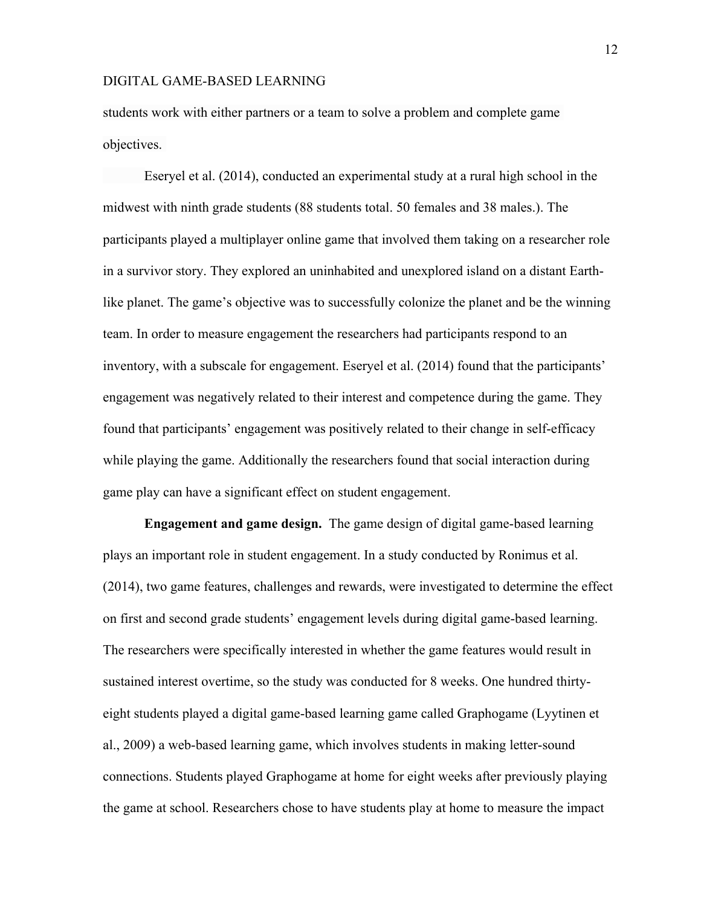students work with either partners or a team to solve a problem and complete game objectives.

Eseryel et al. (2014), conducted an experimental study at a rural high school in the midwest with ninth grade students (88 students total. 50 females and 38 males.). The participants played a multiplayer online game that involved them taking on a researcher role in a survivor story. They explored an uninhabited and unexplored island on a distant Earthlike planet. The game's objective was to successfully colonize the planet and be the winning team. In order to measure engagement the researchers had participants respond to an inventory, with a subscale for engagement. Eseryel et al. (2014) found that the participants' engagement was negatively related to their interest and competence during the game. They found that participants' engagement was positively related to their change in self-efficacy while playing the game. Additionally the researchers found that social interaction during game play can have a significant effect on student engagement.

**Engagement and game design.** The game design of digital game-based learning plays an important role in student engagement. In a study conducted by Ronimus et al. (2014), two game features, challenges and rewards, were investigated to determine the effect on first and second grade students' engagement levels during digital game-based learning. The researchers were specifically interested in whether the game features would result in sustained interest overtime, so the study was conducted for 8 weeks. One hundred thirtyeight students played a digital game-based learning game called Graphogame (Lyytinen et al., 2009) a web-based learning game, which involves students in making letter-sound connections. Students played Graphogame at home for eight weeks after previously playing the game at school. Researchers chose to have students play at home to measure the impact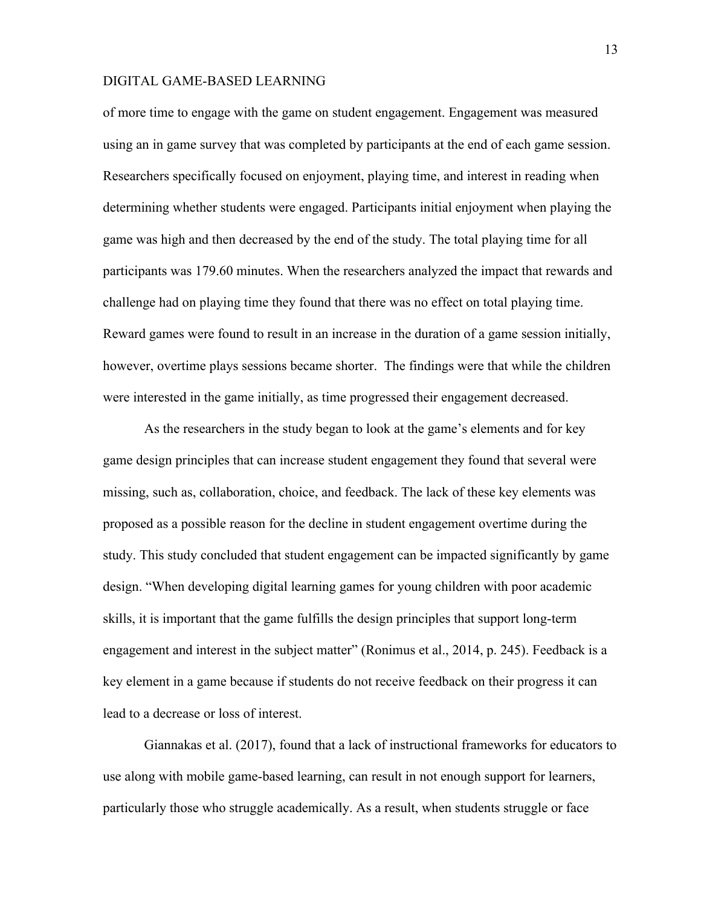of more time to engage with the game on student engagement. Engagement was measured using an in game survey that was completed by participants at the end of each game session. Researchers specifically focused on enjoyment, playing time, and interest in reading when determining whether students were engaged. Participants initial enjoyment when playing the game was high and then decreased by the end of the study. The total playing time for all participants was 179.60 minutes. When the researchers analyzed the impact that rewards and challenge had on playing time they found that there was no effect on total playing time. Reward games were found to result in an increase in the duration of a game session initially, however, overtime plays sessions became shorter. The findings were that while the children were interested in the game initially, as time progressed their engagement decreased.

As the researchers in the study began to look at the game's elements and for key game design principles that can increase student engagement they found that several were missing, such as, collaboration, choice, and feedback. The lack of these key elements was proposed as a possible reason for the decline in student engagement overtime during the study. This study concluded that student engagement can be impacted significantly by game design. "When developing digital learning games for young children with poor academic skills, it is important that the game fulfills the design principles that support long-term engagement and interest in the subject matter" (Ronimus et al., 2014, p. 245). Feedback is a key element in a game because if students do not receive feedback on their progress it can lead to a decrease or loss of interest.

Giannakas et al. (2017), found that a lack of instructional frameworks for educators to use along with mobile game-based learning, can result in not enough support for learners, particularly those who struggle academically. As a result, when students struggle or face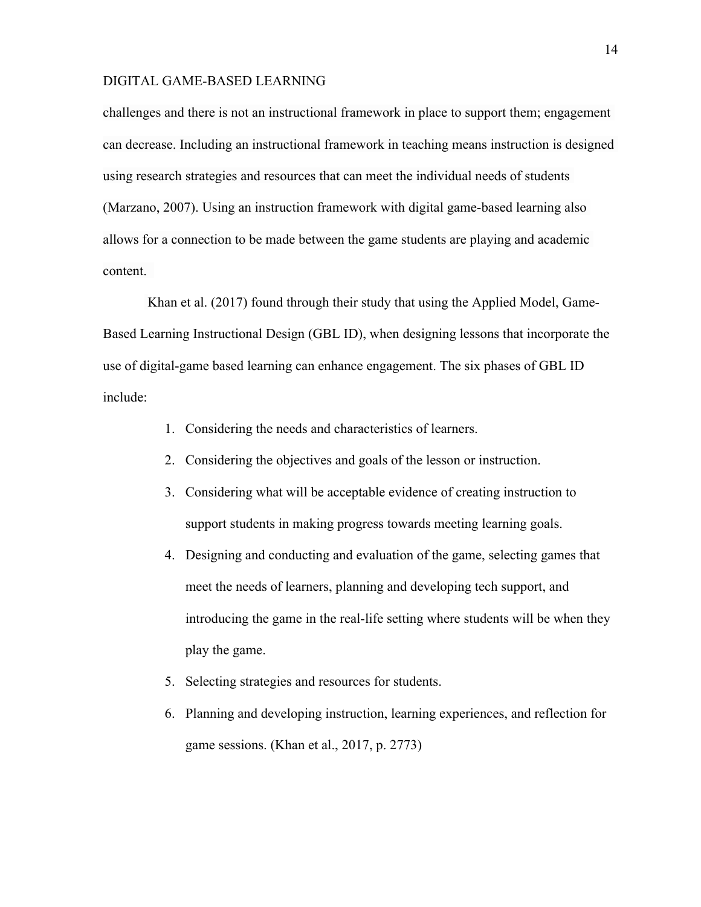challenges and there is not an instructional framework in place to support them; engagement can decrease. Including an instructional framework in teaching means instruction is designed using research strategies and resources that can meet the individual needs of students (Marzano, 2007). Using an instruction framework with digital game-based learning also allows for a connection to be made between the game students are playing and academic content.

Khan et al. (2017) found through their study that using the Applied Model, Game-Based Learning Instructional Design (GBL ID), when designing lessons that incorporate the use of digital-game based learning can enhance engagement. The six phases of GBL ID include:

- 1. Considering the needs and characteristics of learners.
- 2. Considering the objectives and goals of the lesson or instruction.
- 3. Considering what will be acceptable evidence of creating instruction to support students in making progress towards meeting learning goals.
- 4. Designing and conducting and evaluation of the game, selecting games that meet the needs of learners, planning and developing tech support, and introducing the game in the real-life setting where students will be when they play the game.
- 5. Selecting strategies and resources for students.
- 6. Planning and developing instruction, learning experiences, and reflection for game sessions. (Khan et al., 2017, p. 2773)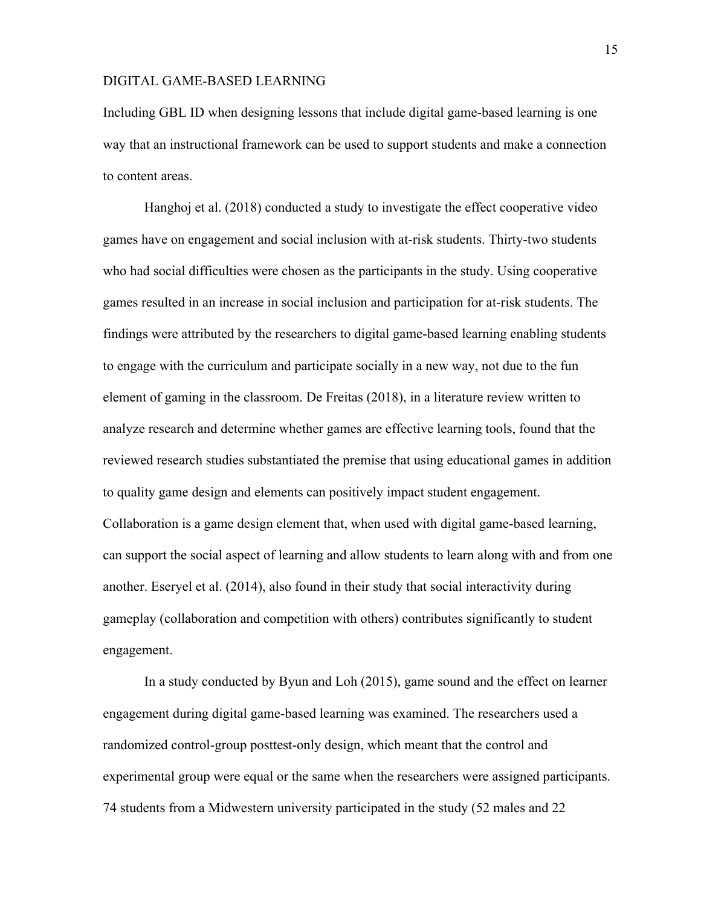Including GBL ID when designing lessons that include digital game-based learning is one way that an instructional framework can be used to support students and make a connection to content areas.

Hanghoj et al. (2018) conducted a study to investigate the effect cooperative video games have on engagement and social inclusion with at-risk students. Thirty-two students who had social difficulties were chosen as the participants in the study. Using cooperative games resulted in an increase in social inclusion and participation for at-risk students. The findings were attributed by the researchers to digital game-based learning enabling students to engage with the curriculum and participate socially in a new way, not due to the fun element of gaming in the classroom. De Freitas (2018), in a literature review written to analyze research and determine whether games are effective learning tools, found that the reviewed research studies substantiated the premise that using educational games in addition to quality game design and elements can positively impact student engagement. Collaboration is a game design element that, when used with digital game-based learning, can support the social aspect of learning and allow students to learn along with and from one another. Eseryel et al. (2014), also found in their study that social interactivity during gameplay (collaboration and competition with others) contributes significantly to student engagement.

In a study conducted by Byun and Loh (2015), game sound and the effect on learner engagement during digital game-based learning was examined. The researchers used a randomized control-group posttest-only design, which meant that the control and experimental group were equal or the same when the researchers were assigned participants. 74 students from a Midwestern university participated in the study (52 males and 22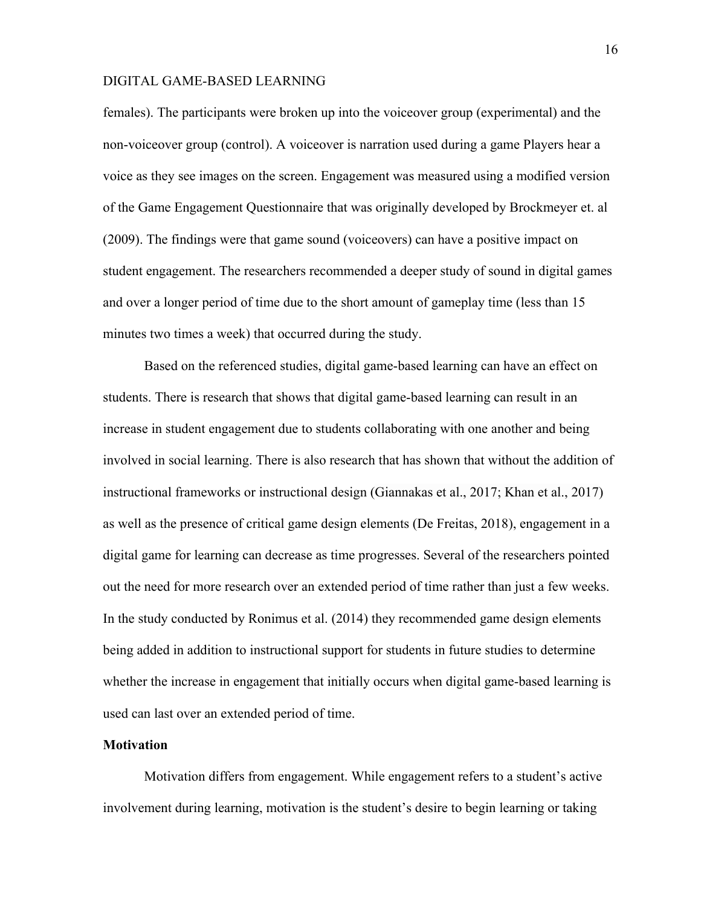females). The participants were broken up into the voiceover group (experimental) and the non-voiceover group (control). A voiceover is narration used during a game Players hear a voice as they see images on the screen. Engagement was measured using a modified version of the Game Engagement Questionnaire that was originally developed by Brockmeyer et. al (2009). The findings were that game sound (voiceovers) can have a positive impact on student engagement. The researchers recommended a deeper study of sound in digital games and over a longer period of time due to the short amount of gameplay time (less than 15 minutes two times a week) that occurred during the study.

Based on the referenced studies, digital game-based learning can have an effect on students. There is research that shows that digital game-based learning can result in an increase in student engagement due to students collaborating with one another and being involved in social learning. There is also research that has shown that without the addition of instructional frameworks or instructional design (Giannakas et al., 2017; Khan et al., 2017) as well as the presence of critical game design elements (De Freitas, 2018), engagement in a digital game for learning can decrease as time progresses. Several of the researchers pointed out the need for more research over an extended period of time rather than just a few weeks. In the study conducted by Ronimus et al. (2014) they recommended game design elements being added in addition to instructional support for students in future studies to determine whether the increase in engagement that initially occurs when digital game-based learning is used can last over an extended period of time.

#### **Motivation**

Motivation differs from engagement. While engagement refers to a student's active involvement during learning, motivation is the student's desire to begin learning or taking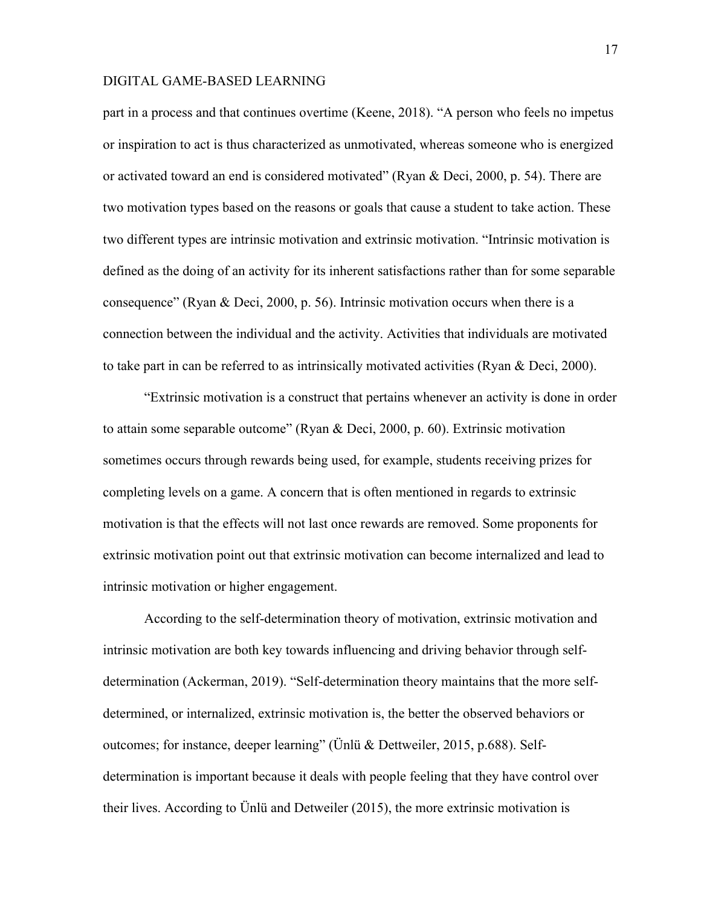part in a process and that continues overtime (Keene, 2018). "A person who feels no impetus or inspiration to act is thus characterized as unmotivated, whereas someone who is energized or activated toward an end is considered motivated" (Ryan & Deci, 2000, p. 54). There are two motivation types based on the reasons or goals that cause a student to take action. These two different types are intrinsic motivation and extrinsic motivation. "Intrinsic motivation is defined as the doing of an activity for its inherent satisfactions rather than for some separable consequence" (Ryan & Deci, 2000, p. 56). Intrinsic motivation occurs when there is a connection between the individual and the activity. Activities that individuals are motivated to take part in can be referred to as intrinsically motivated activities (Ryan & Deci, 2000).

"Extrinsic motivation is a construct that pertains whenever an activity is done in order to attain some separable outcome" (Ryan & Deci, 2000, p. 60). Extrinsic motivation sometimes occurs through rewards being used, for example, students receiving prizes for completing levels on a game. A concern that is often mentioned in regards to extrinsic motivation is that the effects will not last once rewards are removed. Some proponents for extrinsic motivation point out that extrinsic motivation can become internalized and lead to intrinsic motivation or higher engagement.

According to the self-determination theory of motivation, extrinsic motivation and intrinsic motivation are both key towards influencing and driving behavior through selfdetermination (Ackerman, 2019). "Self-determination theory maintains that the more selfdetermined, or internalized, extrinsic motivation is, the better the observed behaviors or outcomes; for instance, deeper learning" (Ünlü & Dettweiler, 2015, p.688). Selfdetermination is important because it deals with people feeling that they have control over their lives. According to Ünlü and Detweiler (2015), the more extrinsic motivation is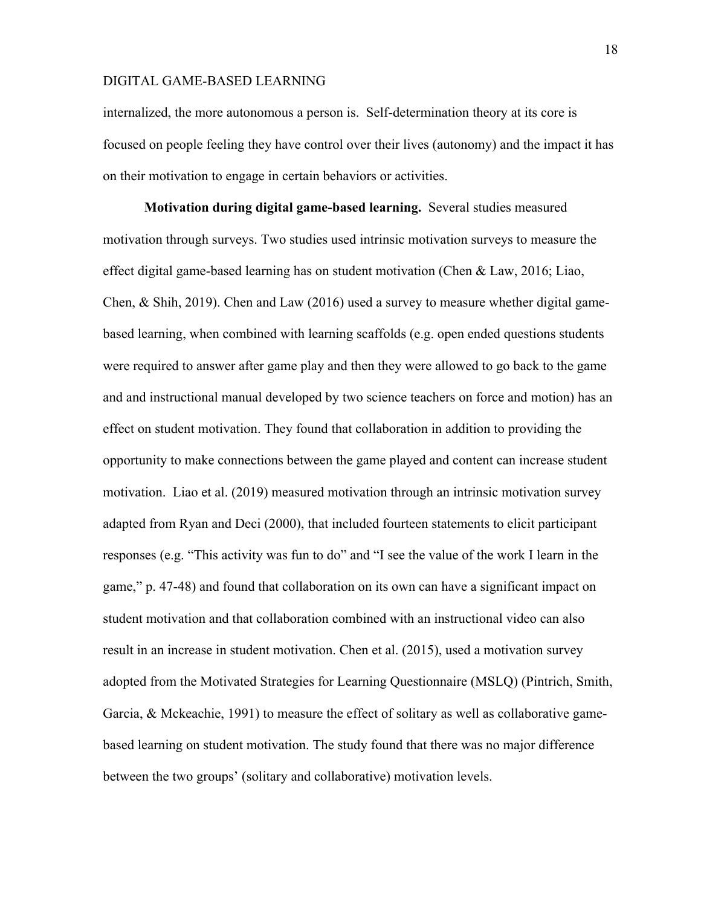internalized, the more autonomous a person is. Self-determination theory at its core is focused on people feeling they have control over their lives (autonomy) and the impact it has on their motivation to engage in certain behaviors or activities.

**Motivation during digital game-based learning.** Several studies measured motivation through surveys. Two studies used intrinsic motivation surveys to measure the effect digital game-based learning has on student motivation (Chen & Law, 2016; Liao, Chen, & Shih, 2019). Chen and Law (2016) used a survey to measure whether digital gamebased learning, when combined with learning scaffolds (e.g. open ended questions students were required to answer after game play and then they were allowed to go back to the game and and instructional manual developed by two science teachers on force and motion) has an effect on student motivation. They found that collaboration in addition to providing the opportunity to make connections between the game played and content can increase student motivation. Liao et al. (2019) measured motivation through an intrinsic motivation survey adapted from Ryan and Deci (2000), that included fourteen statements to elicit participant responses (e.g. "This activity was fun to do" and "I see the value of the work I learn in the game," p. 47-48) and found that collaboration on its own can have a significant impact on student motivation and that collaboration combined with an instructional video can also result in an increase in student motivation. Chen et al. (2015), used a motivation survey adopted from the Motivated Strategies for Learning Questionnaire (MSLQ) (Pintrich, Smith, Garcia, & Mckeachie, 1991) to measure the effect of solitary as well as collaborative gamebased learning on student motivation. The study found that there was no major difference between the two groups' (solitary and collaborative) motivation levels.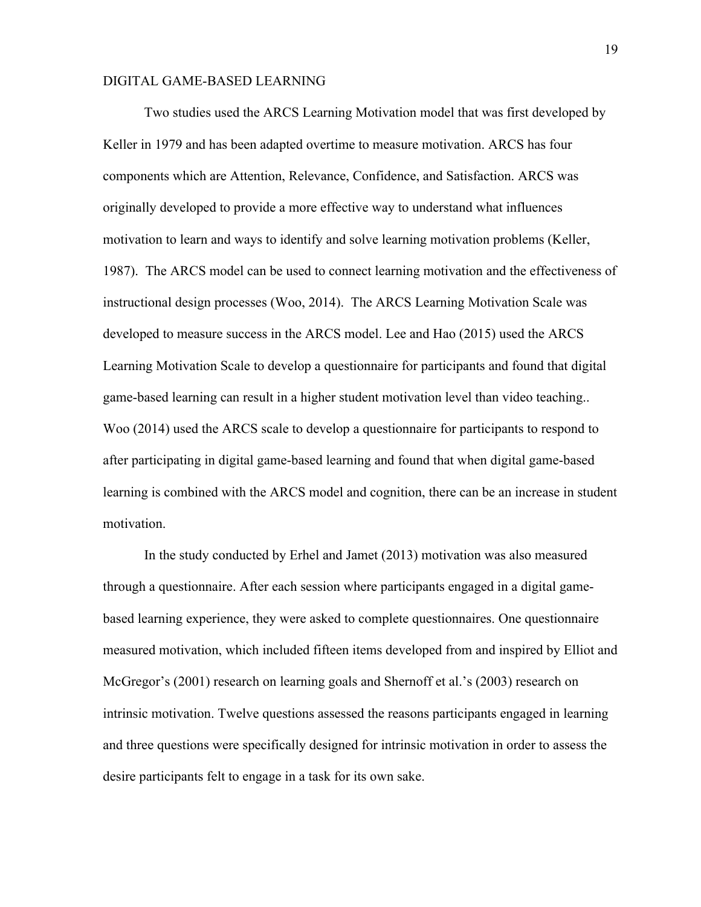Two studies used the ARCS Learning Motivation model that was first developed by Keller in 1979 and has been adapted overtime to measure motivation. ARCS has four components which are Attention, Relevance, Confidence, and Satisfaction. ARCS was originally developed to provide a more effective way to understand what influences motivation to learn and ways to identify and solve learning motivation problems (Keller, 1987). The ARCS model can be used to connect learning motivation and the effectiveness of instructional design processes (Woo, 2014). The ARCS Learning Motivation Scale was developed to measure success in the ARCS model. Lee and Hao (2015) used the ARCS Learning Motivation Scale to develop a questionnaire for participants and found that digital game-based learning can result in a higher student motivation level than video teaching.. Woo (2014) used the ARCS scale to develop a questionnaire for participants to respond to after participating in digital game-based learning and found that when digital game-based learning is combined with the ARCS model and cognition, there can be an increase in student motivation.

In the study conducted by Erhel and Jamet (2013) motivation was also measured through a questionnaire. After each session where participants engaged in a digital gamebased learning experience, they were asked to complete questionnaires. One questionnaire measured motivation, which included fifteen items developed from and inspired by Elliot and McGregor's (2001) research on learning goals and Shernoff et al.'s (2003) research on intrinsic motivation. Twelve questions assessed the reasons participants engaged in learning and three questions were specifically designed for intrinsic motivation in order to assess the desire participants felt to engage in a task for its own sake.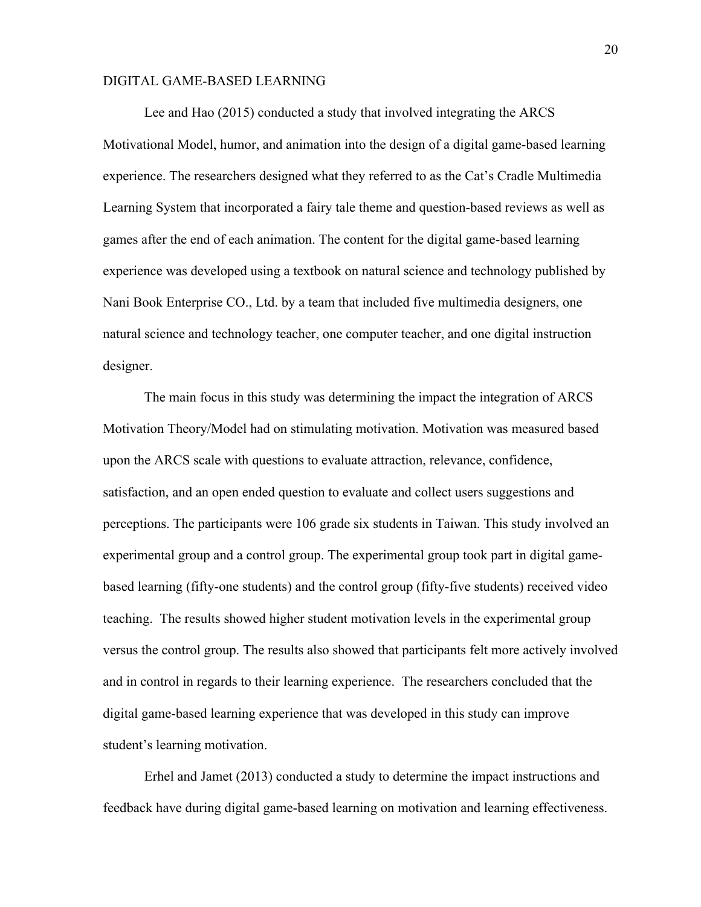Lee and Hao (2015) conducted a study that involved integrating the ARCS Motivational Model, humor, and animation into the design of a digital game-based learning experience. The researchers designed what they referred to as the Cat's Cradle Multimedia Learning System that incorporated a fairy tale theme and question-based reviews as well as games after the end of each animation. The content for the digital game-based learning experience was developed using a textbook on natural science and technology published by Nani Book Enterprise CO., Ltd. by a team that included five multimedia designers, one natural science and technology teacher, one computer teacher, and one digital instruction designer.

The main focus in this study was determining the impact the integration of ARCS Motivation Theory/Model had on stimulating motivation. Motivation was measured based upon the ARCS scale with questions to evaluate attraction, relevance, confidence, satisfaction, and an open ended question to evaluate and collect users suggestions and perceptions. The participants were 106 grade six students in Taiwan. This study involved an experimental group and a control group. The experimental group took part in digital gamebased learning (fifty-one students) and the control group (fifty-five students) received video teaching. The results showed higher student motivation levels in the experimental group versus the control group. The results also showed that participants felt more actively involved and in control in regards to their learning experience. The researchers concluded that the digital game-based learning experience that was developed in this study can improve student's learning motivation.

Erhel and Jamet (2013) conducted a study to determine the impact instructions and feedback have during digital game-based learning on motivation and learning effectiveness.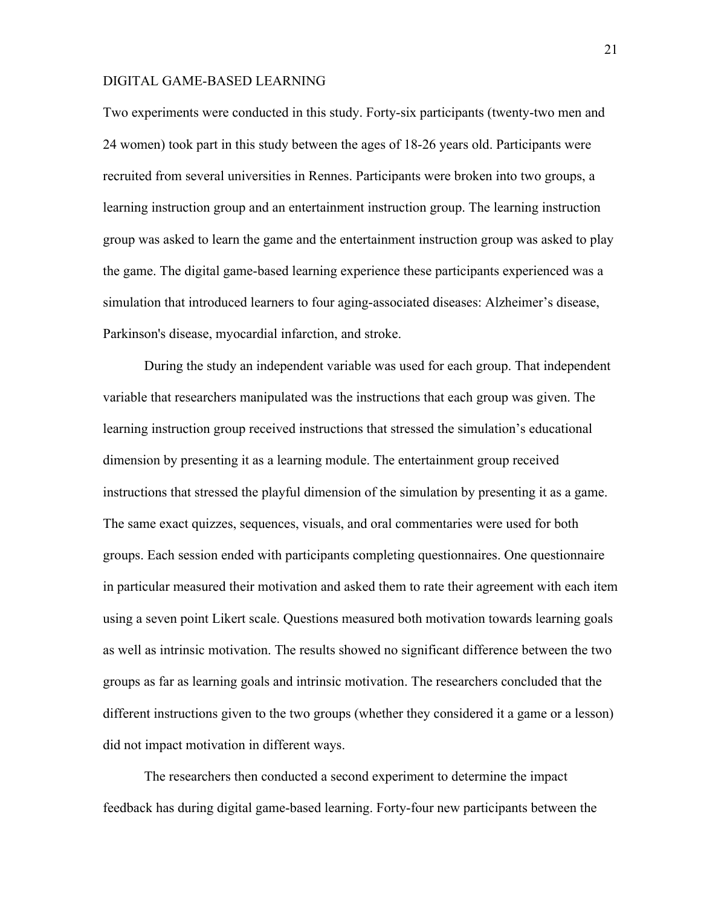Two experiments were conducted in this study. Forty-six participants (twenty-two men and 24 women) took part in this study between the ages of 18-26 years old. Participants were recruited from several universities in Rennes. Participants were broken into two groups, a learning instruction group and an entertainment instruction group. The learning instruction group was asked to learn the game and the entertainment instruction group was asked to play the game. The digital game-based learning experience these participants experienced was a simulation that introduced learners to four aging-associated diseases: Alzheimer's disease, Parkinson's disease, myocardial infarction, and stroke.

During the study an independent variable was used for each group. That independent variable that researchers manipulated was the instructions that each group was given. The learning instruction group received instructions that stressed the simulation's educational dimension by presenting it as a learning module. The entertainment group received instructions that stressed the playful dimension of the simulation by presenting it as a game. The same exact quizzes, sequences, visuals, and oral commentaries were used for both groups. Each session ended with participants completing questionnaires. One questionnaire in particular measured their motivation and asked them to rate their agreement with each item using a seven point Likert scale. Questions measured both motivation towards learning goals as well as intrinsic motivation. The results showed no significant difference between the two groups as far as learning goals and intrinsic motivation. The researchers concluded that the different instructions given to the two groups (whether they considered it a game or a lesson) did not impact motivation in different ways.

The researchers then conducted a second experiment to determine the impact feedback has during digital game-based learning. Forty-four new participants between the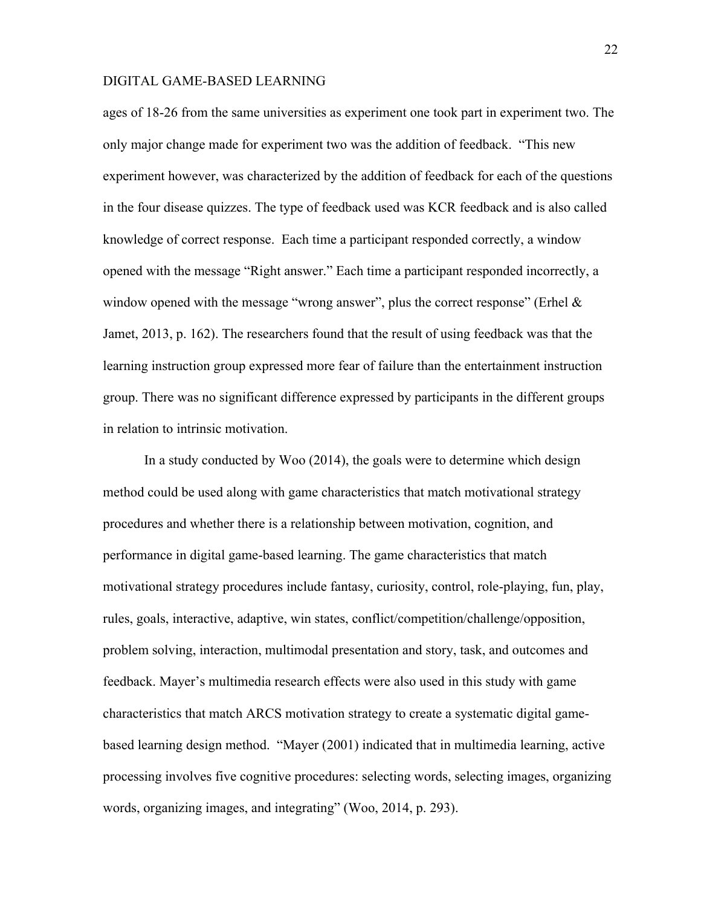ages of 18-26 from the same universities as experiment one took part in experiment two. The only major change made for experiment two was the addition of feedback. "This new experiment however, was characterized by the addition of feedback for each of the questions in the four disease quizzes. The type of feedback used was KCR feedback and is also called knowledge of correct response. Each time a participant responded correctly, a window opened with the message "Right answer." Each time a participant responded incorrectly, a window opened with the message "wrong answer", plus the correct response" (Erhel  $\&$ Jamet, 2013, p. 162). The researchers found that the result of using feedback was that the learning instruction group expressed more fear of failure than the entertainment instruction group. There was no significant difference expressed by participants in the different groups in relation to intrinsic motivation.

In a study conducted by Woo (2014), the goals were to determine which design method could be used along with game characteristics that match motivational strategy procedures and whether there is a relationship between motivation, cognition, and performance in digital game-based learning. The game characteristics that match motivational strategy procedures include fantasy, curiosity, control, role-playing, fun, play, rules, goals, interactive, adaptive, win states, conflict/competition/challenge/opposition, problem solving, interaction, multimodal presentation and story, task, and outcomes and feedback. Mayer's multimedia research effects were also used in this study with game characteristics that match ARCS motivation strategy to create a systematic digital gamebased learning design method. "Mayer (2001) indicated that in multimedia learning, active processing involves five cognitive procedures: selecting words, selecting images, organizing words, organizing images, and integrating" (Woo, 2014, p. 293).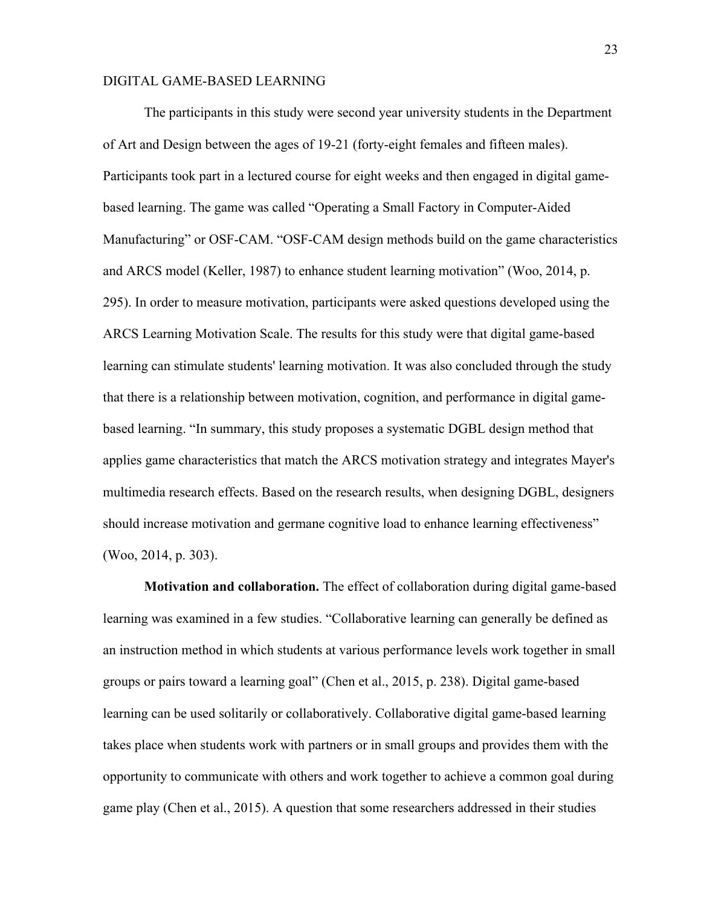The participants in this study were second year university students in the Department of Art and Design between the ages of 19-21 (forty-eight females and fifteen males). Participants took part in a lectured course for eight weeks and then engaged in digital gamebased learning. The game was called "Operating a Small Factory in Computer-Aided Manufacturing" or OSF-CAM. "OSF-CAM design methods build on the game characteristics and ARCS model (Keller, 1987) to enhance student learning motivation" (Woo, 2014, p. 295). In order to measure motivation, participants were asked questions developed using the ARCS Learning Motivation Scale. The results for this study were that digital game-based learning can stimulate students' learning motivation. It was also concluded through the study that there is a relationship between motivation, cognition, and performance in digital gamebased learning. "In summary, this study proposes a systematic DGBL design method that applies game characteristics that match the ARCS motivation strategy and integrates Mayer's multimedia research effects. Based on the research results, when designing DGBL, designers should increase motivation and germane cognitive load to enhance learning effectiveness" (Woo, 2014, p. 303).

**Motivation and collaboration.** The effect of collaboration during digital game-based learning was examined in a few studies. "Collaborative learning can generally be defined as an instruction method in which students at various performance levels work together in small groups or pairs toward a learning goal" (Chen et al., 2015, p. 238). Digital game-based learning can be used solitarily or collaboratively. Collaborative digital game-based learning takes place when students work with partners or in small groups and provides them with the opportunity to communicate with others and work together to achieve a common goal during game play (Chen et al., 2015). A question that some researchers addressed in their studies

23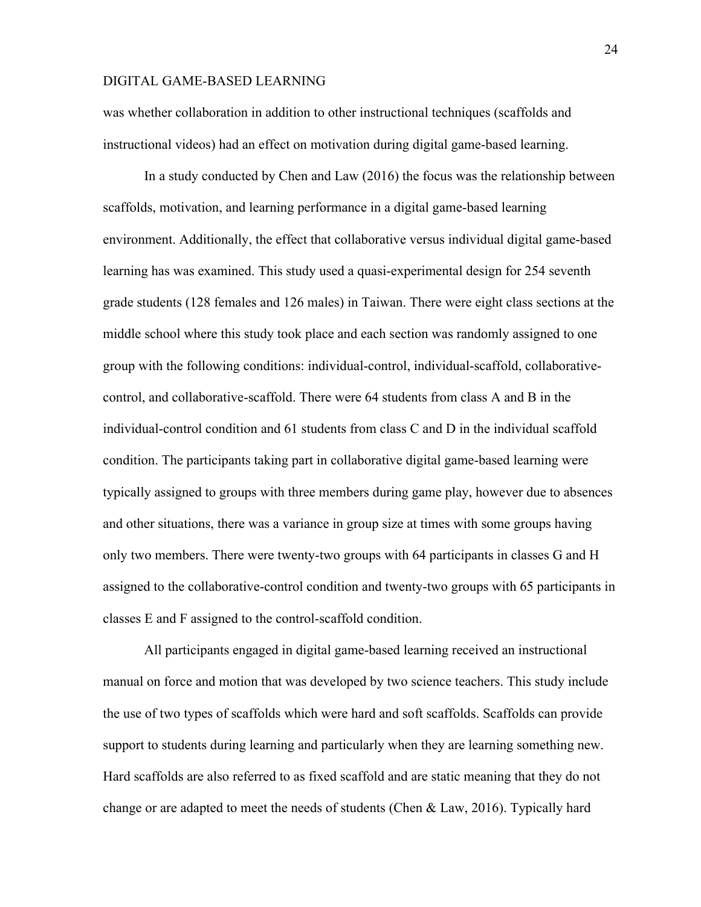was whether collaboration in addition to other instructional techniques (scaffolds and instructional videos) had an effect on motivation during digital game-based learning.

In a study conducted by Chen and Law (2016) the focus was the relationship between scaffolds, motivation, and learning performance in a digital game-based learning environment. Additionally, the effect that collaborative versus individual digital game-based learning has was examined. This study used a quasi-experimental design for 254 seventh grade students (128 females and 126 males) in Taiwan. There were eight class sections at the middle school where this study took place and each section was randomly assigned to one group with the following conditions: individual-control, individual-scaffold, collaborativecontrol, and collaborative-scaffold. There were 64 students from class A and B in the individual-control condition and 61 students from class C and D in the individual scaffold condition. The participants taking part in collaborative digital game-based learning were typically assigned to groups with three members during game play, however due to absences and other situations, there was a variance in group size at times with some groups having only two members. There were twenty-two groups with 64 participants in classes G and H assigned to the collaborative-control condition and twenty-two groups with 65 participants in classes E and F assigned to the control-scaffold condition.

All participants engaged in digital game-based learning received an instructional manual on force and motion that was developed by two science teachers. This study include the use of two types of scaffolds which were hard and soft scaffolds. Scaffolds can provide support to students during learning and particularly when they are learning something new. Hard scaffolds are also referred to as fixed scaffold and are static meaning that they do not change or are adapted to meet the needs of students (Chen & Law, 2016). Typically hard

24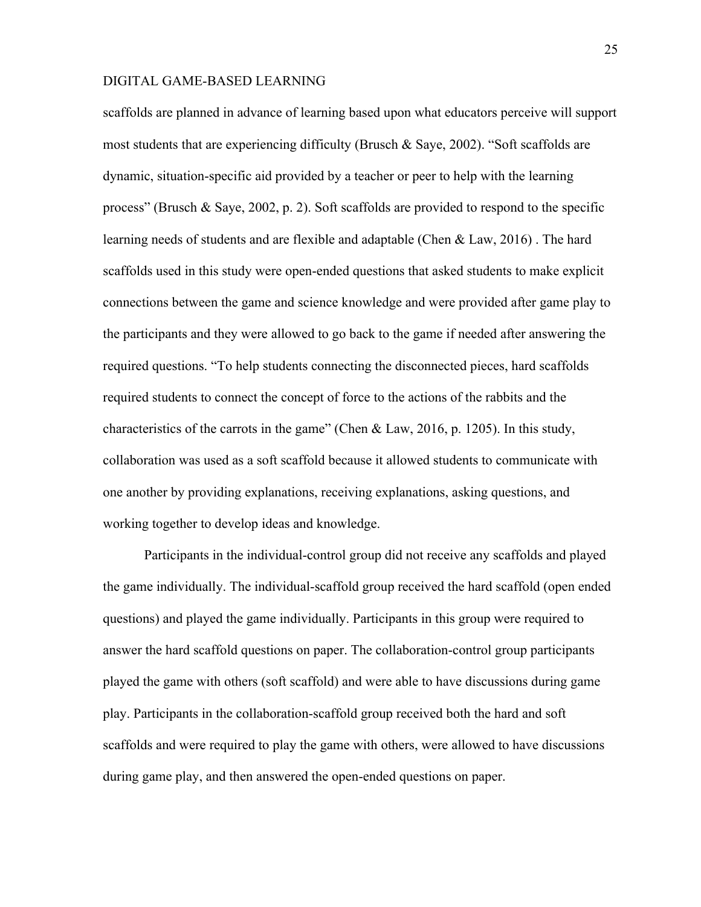scaffolds are planned in advance of learning based upon what educators perceive will support most students that are experiencing difficulty (Brusch & Saye, 2002). "Soft scaffolds are dynamic, situation-specific aid provided by a teacher or peer to help with the learning process" (Brusch & Saye, 2002, p. 2). Soft scaffolds are provided to respond to the specific learning needs of students and are flexible and adaptable (Chen & Law, 2016) . The hard scaffolds used in this study were open-ended questions that asked students to make explicit connections between the game and science knowledge and were provided after game play to the participants and they were allowed to go back to the game if needed after answering the required questions. "To help students connecting the disconnected pieces, hard scaffolds required students to connect the concept of force to the actions of the rabbits and the characteristics of the carrots in the game" (Chen & Law, 2016, p. 1205). In this study, collaboration was used as a soft scaffold because it allowed students to communicate with one another by providing explanations, receiving explanations, asking questions, and working together to develop ideas and knowledge.

Participants in the individual-control group did not receive any scaffolds and played the game individually. The individual-scaffold group received the hard scaffold (open ended questions) and played the game individually. Participants in this group were required to answer the hard scaffold questions on paper. The collaboration-control group participants played the game with others (soft scaffold) and were able to have discussions during game play. Participants in the collaboration-scaffold group received both the hard and soft scaffolds and were required to play the game with others, were allowed to have discussions during game play, and then answered the open-ended questions on paper.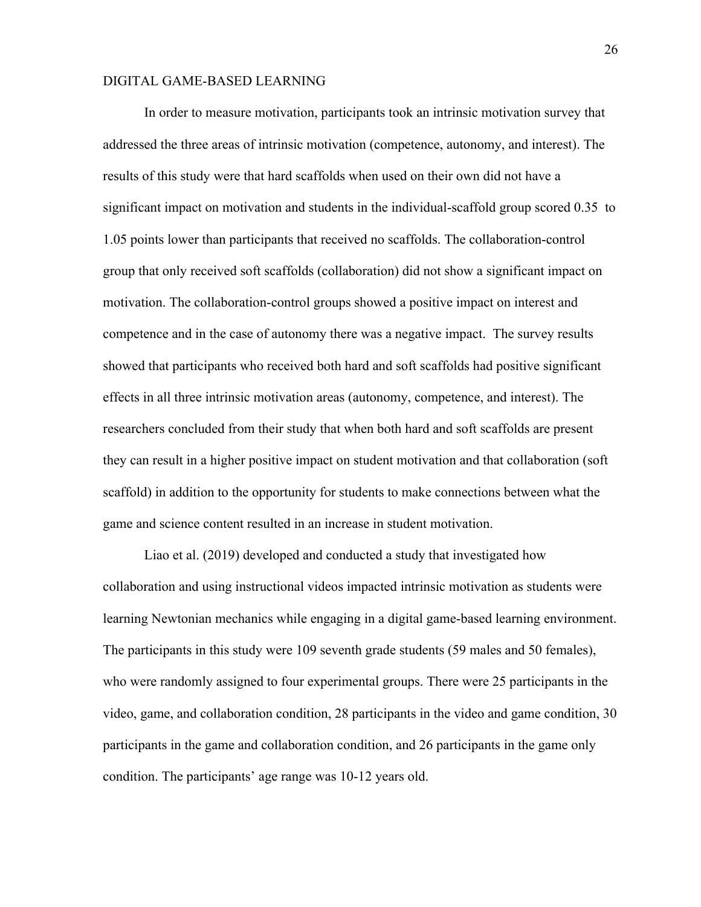In order to measure motivation, participants took an intrinsic motivation survey that addressed the three areas of intrinsic motivation (competence, autonomy, and interest). The results of this study were that hard scaffolds when used on their own did not have a significant impact on motivation and students in the individual-scaffold group scored 0.35 to 1.05 points lower than participants that received no scaffolds. The collaboration-control group that only received soft scaffolds (collaboration) did not show a significant impact on motivation. The collaboration-control groups showed a positive impact on interest and competence and in the case of autonomy there was a negative impact. The survey results showed that participants who received both hard and soft scaffolds had positive significant effects in all three intrinsic motivation areas (autonomy, competence, and interest). The researchers concluded from their study that when both hard and soft scaffolds are present they can result in a higher positive impact on student motivation and that collaboration (soft scaffold) in addition to the opportunity for students to make connections between what the game and science content resulted in an increase in student motivation.

Liao et al. (2019) developed and conducted a study that investigated how collaboration and using instructional videos impacted intrinsic motivation as students were learning Newtonian mechanics while engaging in a digital game-based learning environment. The participants in this study were 109 seventh grade students (59 males and 50 females), who were randomly assigned to four experimental groups. There were 25 participants in the video, game, and collaboration condition, 28 participants in the video and game condition, 30 participants in the game and collaboration condition, and 26 participants in the game only condition. The participants' age range was 10-12 years old.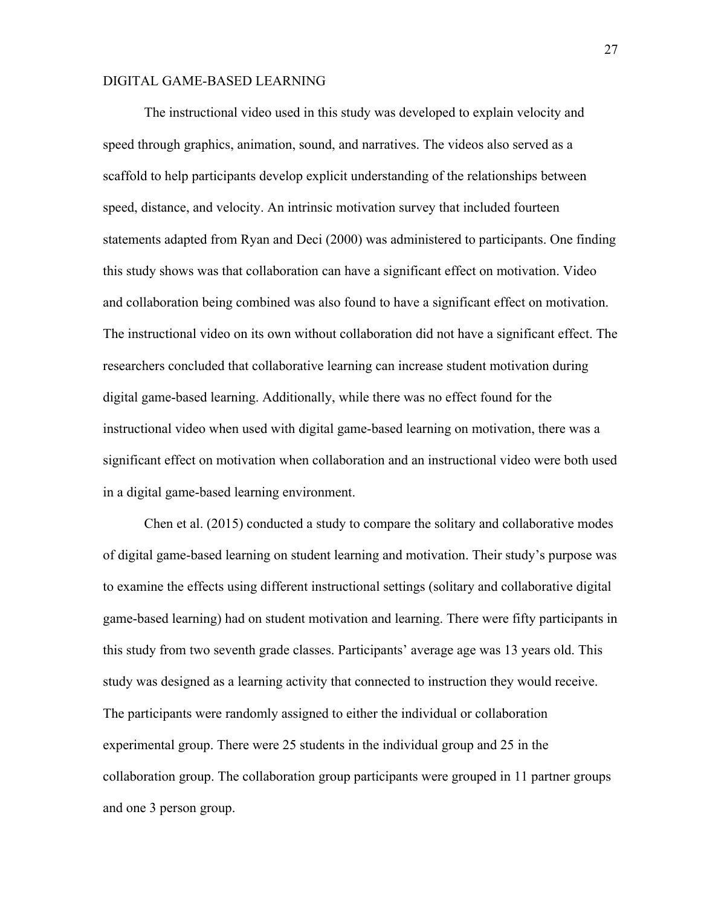The instructional video used in this study was developed to explain velocity and speed through graphics, animation, sound, and narratives. The videos also served as a scaffold to help participants develop explicit understanding of the relationships between speed, distance, and velocity. An intrinsic motivation survey that included fourteen statements adapted from Ryan and Deci (2000) was administered to participants. One finding this study shows was that collaboration can have a significant effect on motivation. Video and collaboration being combined was also found to have a significant effect on motivation. The instructional video on its own without collaboration did not have a significant effect. The researchers concluded that collaborative learning can increase student motivation during digital game-based learning. Additionally, while there was no effect found for the instructional video when used with digital game-based learning on motivation, there was a significant effect on motivation when collaboration and an instructional video were both used in a digital game-based learning environment.

Chen et al. (2015) conducted a study to compare the solitary and collaborative modes of digital game-based learning on student learning and motivation. Their study's purpose was to examine the effects using different instructional settings (solitary and collaborative digital game-based learning) had on student motivation and learning. There were fifty participants in this study from two seventh grade classes. Participants' average age was 13 years old. This study was designed as a learning activity that connected to instruction they would receive. The participants were randomly assigned to either the individual or collaboration experimental group. There were 25 students in the individual group and 25 in the collaboration group. The collaboration group participants were grouped in 11 partner groups and one 3 person group.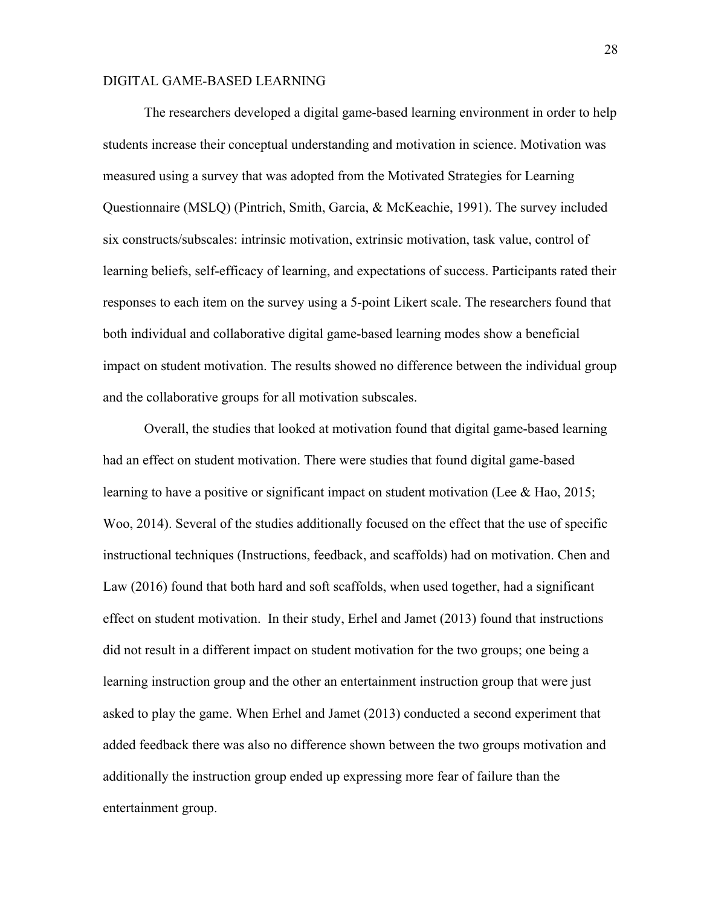The researchers developed a digital game-based learning environment in order to help students increase their conceptual understanding and motivation in science. Motivation was measured using a survey that was adopted from the Motivated Strategies for Learning Questionnaire (MSLQ) (Pintrich, Smith, Garcia, & McKeachie, 1991). The survey included six constructs/subscales: intrinsic motivation, extrinsic motivation, task value, control of learning beliefs, self-efficacy of learning, and expectations of success. Participants rated their responses to each item on the survey using a 5-point Likert scale. The researchers found that both individual and collaborative digital game-based learning modes show a beneficial impact on student motivation. The results showed no difference between the individual group and the collaborative groups for all motivation subscales.

Overall, the studies that looked at motivation found that digital game-based learning had an effect on student motivation. There were studies that found digital game-based learning to have a positive or significant impact on student motivation (Lee & Hao, 2015; Woo, 2014). Several of the studies additionally focused on the effect that the use of specific instructional techniques (Instructions, feedback, and scaffolds) had on motivation. Chen and Law (2016) found that both hard and soft scaffolds, when used together, had a significant effect on student motivation. In their study, Erhel and Jamet (2013) found that instructions did not result in a different impact on student motivation for the two groups; one being a learning instruction group and the other an entertainment instruction group that were just asked to play the game. When Erhel and Jamet (2013) conducted a second experiment that added feedback there was also no difference shown between the two groups motivation and additionally the instruction group ended up expressing more fear of failure than the entertainment group.

28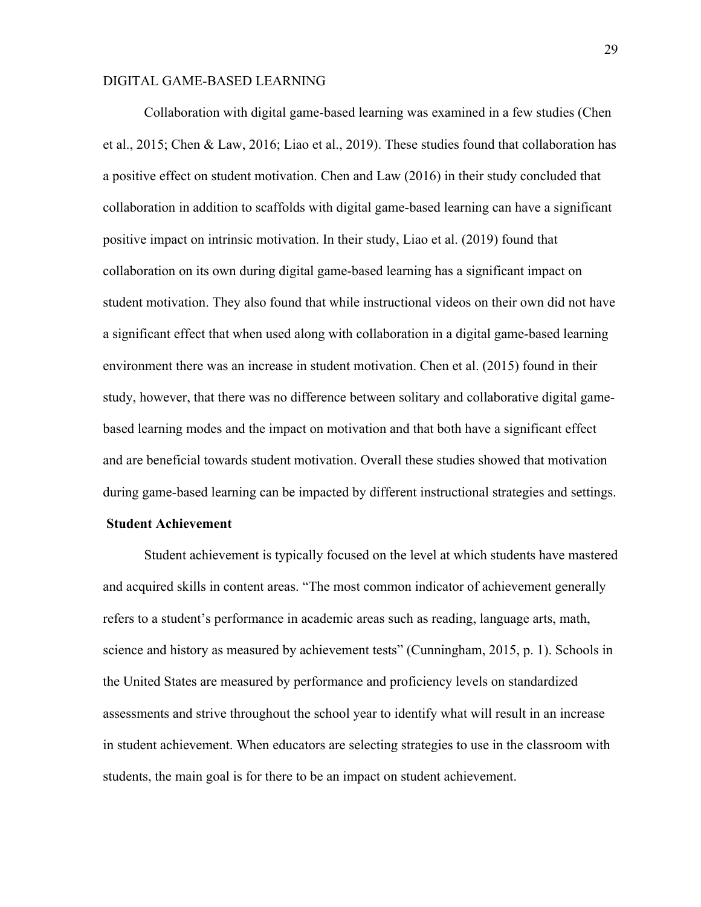Collaboration with digital game-based learning was examined in a few studies (Chen et al., 2015; Chen & Law, 2016; Liao et al., 2019). These studies found that collaboration has a positive effect on student motivation. Chen and Law (2016) in their study concluded that collaboration in addition to scaffolds with digital game-based learning can have a significant positive impact on intrinsic motivation. In their study, Liao et al. (2019) found that collaboration on its own during digital game-based learning has a significant impact on student motivation. They also found that while instructional videos on their own did not have a significant effect that when used along with collaboration in a digital game-based learning environment there was an increase in student motivation. Chen et al. (2015) found in their study, however, that there was no difference between solitary and collaborative digital gamebased learning modes and the impact on motivation and that both have a significant effect and are beneficial towards student motivation. Overall these studies showed that motivation during game-based learning can be impacted by different instructional strategies and settings.

#### **Student Achievement**

Student achievement is typically focused on the level at which students have mastered and acquired skills in content areas. "The most common indicator of achievement generally refers to a student's performance in academic areas such as reading, language arts, math, science and history as measured by achievement tests" (Cunningham, 2015, p. 1). Schools in the United States are measured by performance and proficiency levels on standardized assessments and strive throughout the school year to identify what will result in an increase in student achievement. When educators are selecting strategies to use in the classroom with students, the main goal is for there to be an impact on student achievement.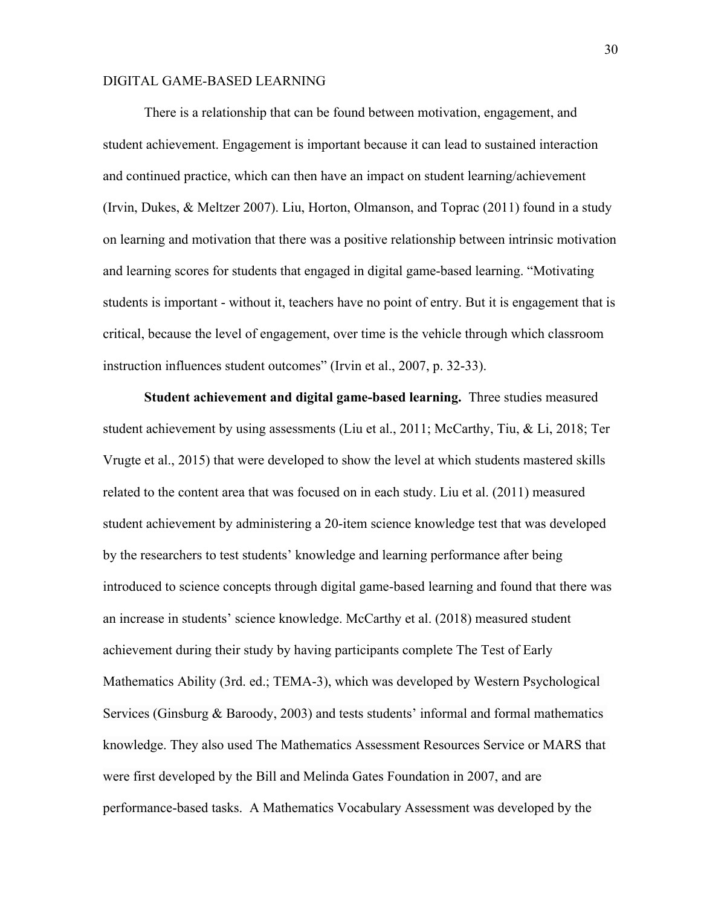There is a relationship that can be found between motivation, engagement, and student achievement. Engagement is important because it can lead to sustained interaction and continued practice, which can then have an impact on student learning/achievement (Irvin, Dukes, & Meltzer 2007). Liu, Horton, Olmanson, and Toprac (2011) found in a study on learning and motivation that there was a positive relationship between intrinsic motivation and learning scores for students that engaged in digital game-based learning. "Motivating students is important - without it, teachers have no point of entry. But it is engagement that is critical, because the level of engagement, over time is the vehicle through which classroom instruction influences student outcomes" (Irvin et al., 2007, p. 32-33).

**Student achievement and digital game-based learning.** Three studies measured student achievement by using assessments (Liu et al., 2011; McCarthy, Tiu, & Li, 2018; Ter Vrugte et al., 2015) that were developed to show the level at which students mastered skills related to the content area that was focused on in each study. Liu et al. (2011) measured student achievement by administering a 20-item science knowledge test that was developed by the researchers to test students' knowledge and learning performance after being introduced to science concepts through digital game-based learning and found that there was an increase in students' science knowledge. McCarthy et al. (2018) measured student achievement during their study by having participants complete The Test of Early Mathematics Ability (3rd. ed.; TEMA-3), which was developed by Western Psychological Services (Ginsburg & Baroody, 2003) and tests students' informal and formal mathematics knowledge. They also used The Mathematics Assessment Resources Service or MARS that were first developed by the Bill and Melinda Gates Foundation in 2007, and are performance-based tasks. A Mathematics Vocabulary Assessment was developed by the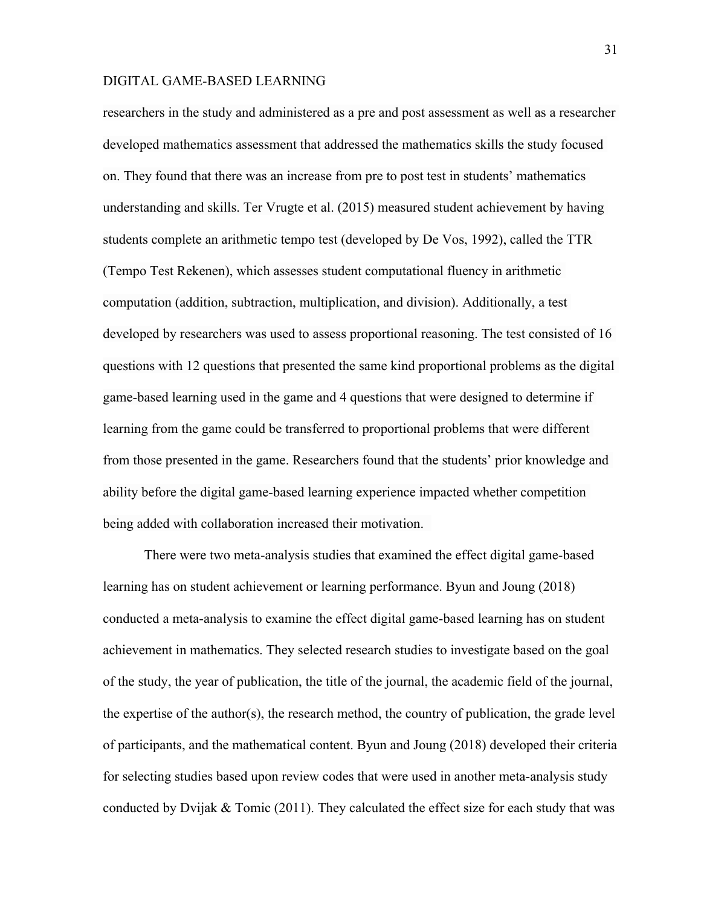researchers in the study and administered as a pre and post assessment as well as a researcher developed mathematics assessment that addressed the mathematics skills the study focused on. They found that there was an increase from pre to post test in students' mathematics understanding and skills. Ter Vrugte et al. (2015) measured student achievement by having students complete an arithmetic tempo test (developed by De Vos, 1992), called the TTR (Tempo Test Rekenen), which assesses student computational fluency in arithmetic computation (addition, subtraction, multiplication, and division). Additionally, a test developed by researchers was used to assess proportional reasoning. The test consisted of 16 questions with 12 questions that presented the same kind proportional problems as the digital game-based learning used in the game and 4 questions that were designed to determine if learning from the game could be transferred to proportional problems that were different from those presented in the game. Researchers found that the students' prior knowledge and ability before the digital game-based learning experience impacted whether competition being added with collaboration increased their motivation.

There were two meta-analysis studies that examined the effect digital game-based learning has on student achievement or learning performance. Byun and Joung (2018) conducted a meta-analysis to examine the effect digital game-based learning has on student achievement in mathematics. They selected research studies to investigate based on the goal of the study, the year of publication, the title of the journal, the academic field of the journal, the expertise of the author(s), the research method, the country of publication, the grade level of participants, and the mathematical content. Byun and Joung (2018) developed their criteria for selecting studies based upon review codes that were used in another meta-analysis study conducted by Dvijak  $\&$  Tomic (2011). They calculated the effect size for each study that was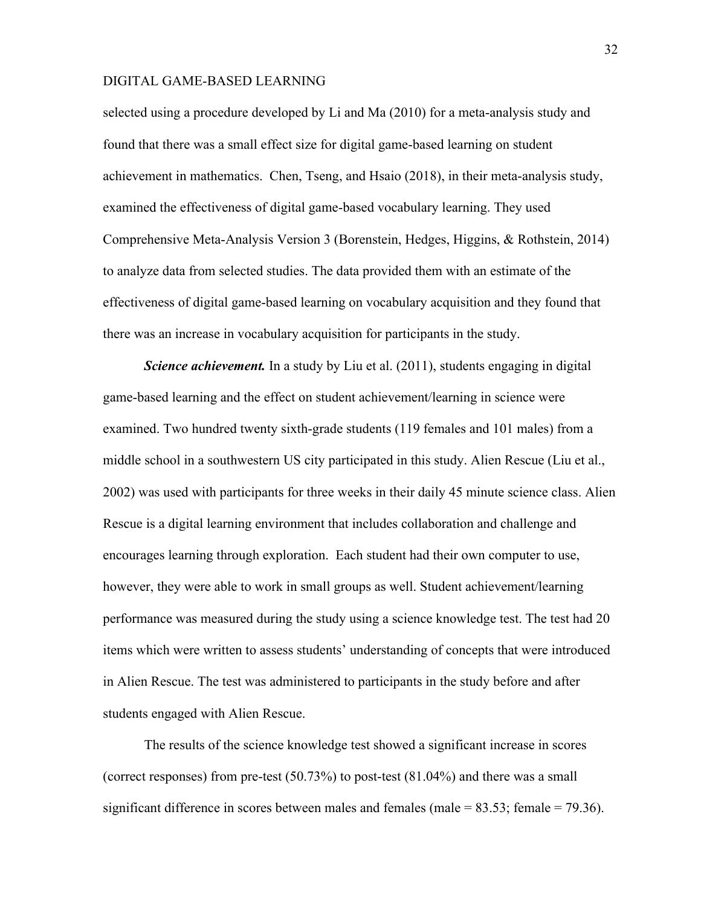selected using a procedure developed by Li and Ma (2010) for a meta-analysis study and found that there was a small effect size for digital game-based learning on student achievement in mathematics. Chen, Tseng, and Hsaio (2018), in their meta-analysis study, examined the effectiveness of digital game-based vocabulary learning. They used Comprehensive Meta-Analysis Version 3 (Borenstein, Hedges, Higgins, & Rothstein, 2014) to analyze data from selected studies. The data provided them with an estimate of the effectiveness of digital game-based learning on vocabulary acquisition and they found that there was an increase in vocabulary acquisition for participants in the study.

*Science achievement.* In a study by Liu et al. (2011), students engaging in digital game-based learning and the effect on student achievement/learning in science were examined. Two hundred twenty sixth-grade students (119 females and 101 males) from a middle school in a southwestern US city participated in this study. Alien Rescue (Liu et al., 2002) was used with participants for three weeks in their daily 45 minute science class. Alien Rescue is a digital learning environment that includes collaboration and challenge and encourages learning through exploration. Each student had their own computer to use, however, they were able to work in small groups as well. Student achievement/learning performance was measured during the study using a science knowledge test. The test had 20 items which were written to assess students' understanding of concepts that were introduced in Alien Rescue. The test was administered to participants in the study before and after students engaged with Alien Rescue.

The results of the science knowledge test showed a significant increase in scores (correct responses) from pre-test  $(50.73%)$  to post-test  $(81.04%)$  and there was a small significant difference in scores between males and females (male  $= 83.53$ ; female  $= 79.36$ ).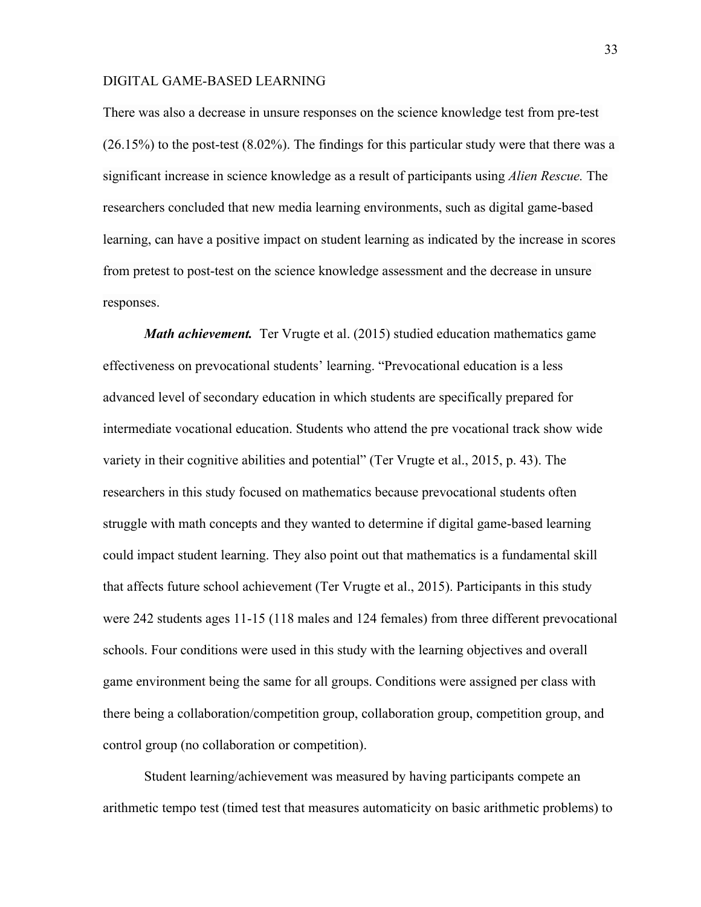There was also a decrease in unsure responses on the science knowledge test from pre-test (26.15%) to the post-test (8.02%). The findings for this particular study were that there was a significant increase in science knowledge as a result of participants using *Alien Rescue.* The researchers concluded that new media learning environments, such as digital game-based learning, can have a positive impact on student learning as indicated by the increase in scores from pretest to post-test on the science knowledge assessment and the decrease in unsure responses.

*Math achievement.* Ter Vrugte et al. (2015) studied education mathematics game effectiveness on prevocational students' learning. "Prevocational education is a less advanced level of secondary education in which students are specifically prepared for intermediate vocational education. Students who attend the pre vocational track show wide variety in their cognitive abilities and potential" (Ter Vrugte et al., 2015, p. 43). The researchers in this study focused on mathematics because prevocational students often struggle with math concepts and they wanted to determine if digital game-based learning could impact student learning. They also point out that mathematics is a fundamental skill that affects future school achievement (Ter Vrugte et al., 2015). Participants in this study were 242 students ages 11-15 (118 males and 124 females) from three different prevocational schools. Four conditions were used in this study with the learning objectives and overall game environment being the same for all groups. Conditions were assigned per class with there being a collaboration/competition group, collaboration group, competition group, and control group (no collaboration or competition).

Student learning/achievement was measured by having participants compete an arithmetic tempo test (timed test that measures automaticity on basic arithmetic problems) to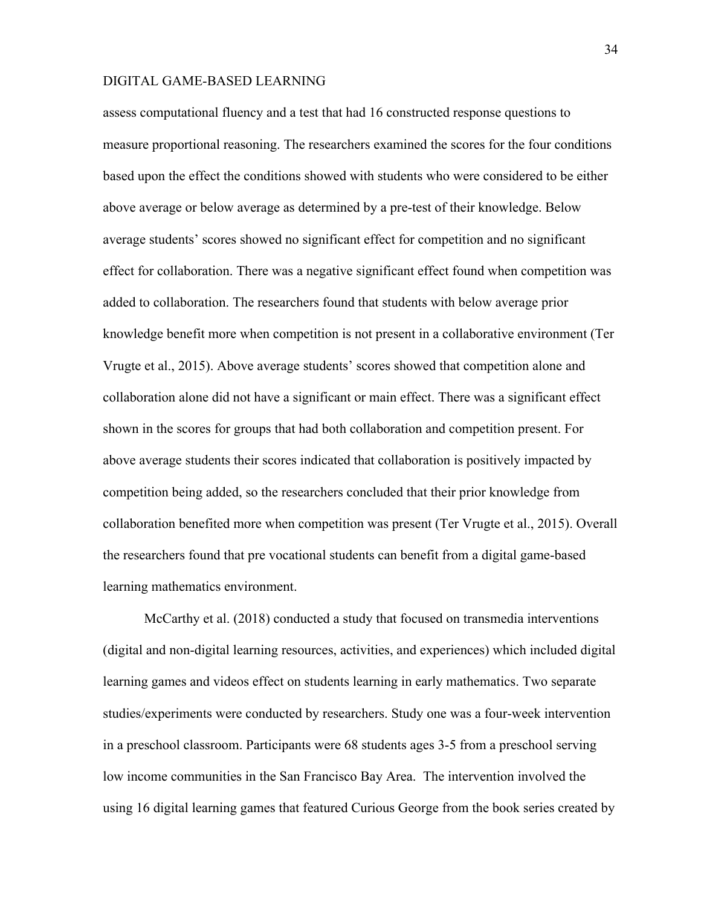assess computational fluency and a test that had 16 constructed response questions to measure proportional reasoning. The researchers examined the scores for the four conditions based upon the effect the conditions showed with students who were considered to be either above average or below average as determined by a pre-test of their knowledge. Below average students' scores showed no significant effect for competition and no significant effect for collaboration. There was a negative significant effect found when competition was added to collaboration. The researchers found that students with below average prior knowledge benefit more when competition is not present in a collaborative environment (Ter Vrugte et al., 2015). Above average students' scores showed that competition alone and collaboration alone did not have a significant or main effect. There was a significant effect shown in the scores for groups that had both collaboration and competition present. For above average students their scores indicated that collaboration is positively impacted by competition being added, so the researchers concluded that their prior knowledge from collaboration benefited more when competition was present (Ter Vrugte et al., 2015). Overall the researchers found that pre vocational students can benefit from a digital game-based learning mathematics environment.

McCarthy et al. (2018) conducted a study that focused on transmedia interventions (digital and non-digital learning resources, activities, and experiences) which included digital learning games and videos effect on students learning in early mathematics. Two separate studies/experiments were conducted by researchers. Study one was a four-week intervention in a preschool classroom. Participants were 68 students ages 3-5 from a preschool serving low income communities in the San Francisco Bay Area. The intervention involved the using 16 digital learning games that featured Curious George from the book series created by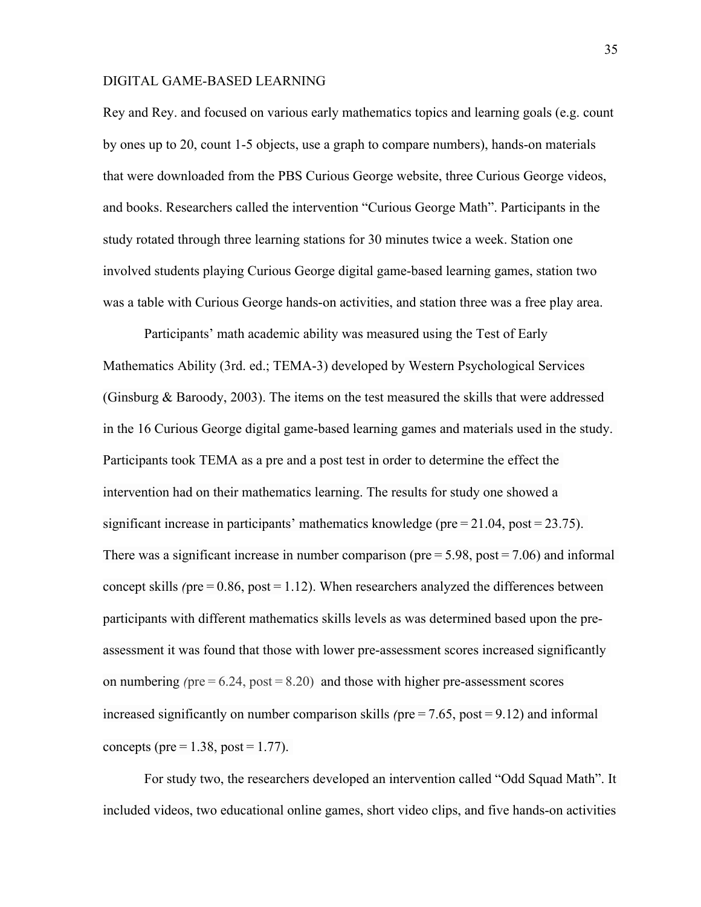Rey and Rey. and focused on various early mathematics topics and learning goals (e.g. count by ones up to 20, count 1-5 objects, use a graph to compare numbers), hands-on materials that were downloaded from the PBS Curious George website, three Curious George videos, and books. Researchers called the intervention "Curious George Math". Participants in the study rotated through three learning stations for 30 minutes twice a week. Station one involved students playing Curious George digital game-based learning games, station two was a table with Curious George hands-on activities, and station three was a free play area.

Participants' math academic ability was measured using the Test of Early Mathematics Ability (3rd. ed.; TEMA-3) developed by Western Psychological Services (Ginsburg & Baroody, 2003). The items on the test measured the skills that were addressed in the 16 Curious George digital game-based learning games and materials used in the study. Participants took TEMA as a pre and a post test in order to determine the effect the intervention had on their mathematics learning. The results for study one showed a significant increase in participants' mathematics knowledge (pre $= 21.04$ , post $= 23.75$ ). There was a significant increase in number comparison ( $pre = 5.98$ ,  $post = 7.06$ ) and informal concept skills *(*pre $= 0.86$ , post $= 1.12$ ). When researchers analyzed the differences between participants with different mathematics skills levels as was determined based upon the preassessment it was found that those with lower pre-assessment scores increased significantly on numbering *(pre* $= 6.24$ , post $= 8.20$ ) and those with higher pre-assessment scores increased significantly on number comparison skills *(pre* = 7.65, post = 9.12) and informal concepts (pre $= 1.38$ , post $= 1.77$ ).

For study two, the researchers developed an intervention called "Odd Squad Math". It included videos, two educational online games, short video clips, and five hands-on activities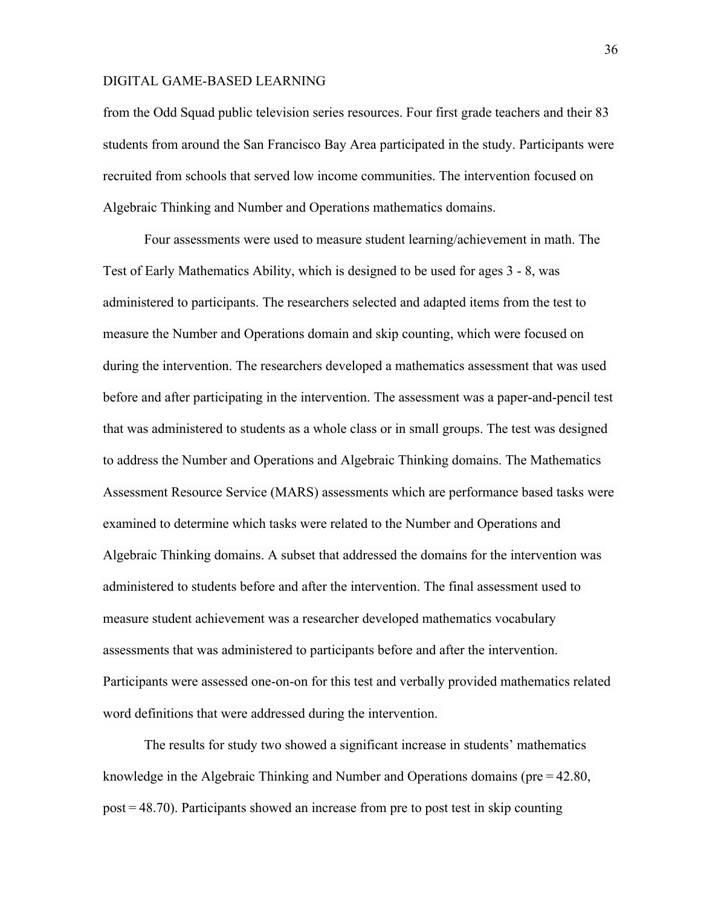from the Odd Squad public television series resources. Four first grade teachers and their 83 students from around the San Francisco Bay Area participated in the study. Participants were recruited from schools that served low income communities. The intervention focused on Algebraic Thinking and Number and Operations mathematics domains.

Four assessments were used to measure student learning/achievement in math. The Test of Early Mathematics Ability, which is designed to be used for ages 3 - 8, was administered to participants. The researchers selected and adapted items from the test to measure the Number and Operations domain and skip counting, which were focused on during the intervention. The researchers developed a mathematics assessment that was used before and after participating in the intervention. The assessment was a paper-and-pencil test that was administered to students as a whole class or in small groups. The test was designed to address the Number and Operations and Algebraic Thinking domains. The Mathematics Assessment Resource Service (MARS) assessments which are performance based tasks were examined to determine which tasks were related to the Number and Operations and Algebraic Thinking domains. A subset that addressed the domains for the intervention was administered to students before and after the intervention. The final assessment used to measure student achievement was a researcher developed mathematics vocabulary assessments that was administered to participants before and after the intervention. Participants were assessed one-on-on for this test and verbally provided mathematics related word definitions that were addressed during the intervention.

The results for study two showed a significant increase in students' mathematics knowledge in the Algebraic Thinking and Number and Operations domains (pre = 42.80, post = 48.70). Participants showed an increase from pre to post test in skip counting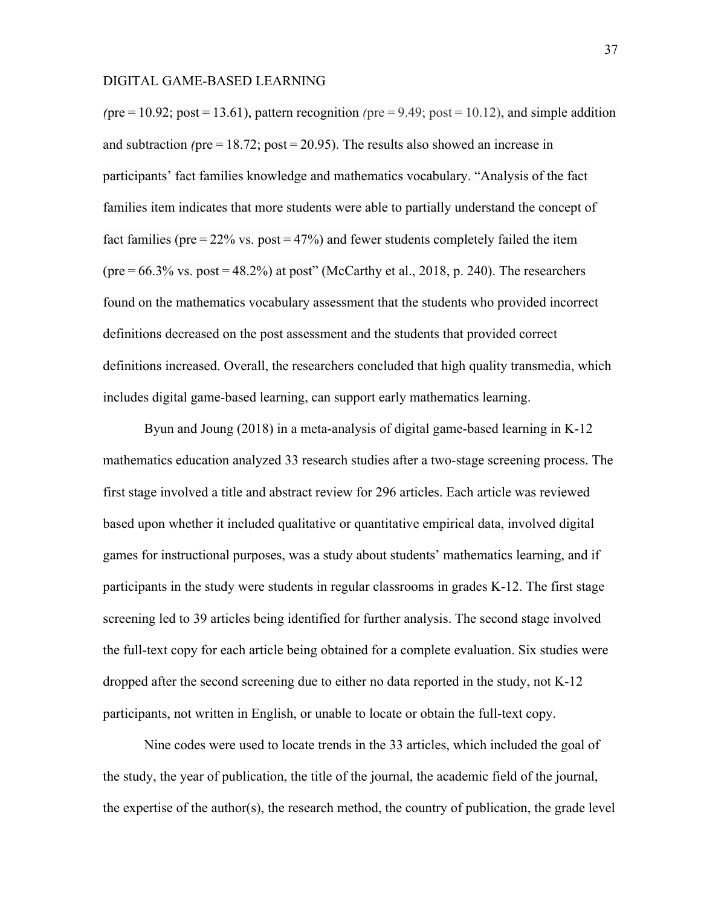*(*pre = 10.92; post = 13.61), pattern recognition *(*pre = 9.49; post = 10.12), and simple addition and subtraction *(*pre = 18.72; post = 20.95). The results also showed an increase in participants' fact families knowledge and mathematics vocabulary. "Analysis of the fact families item indicates that more students were able to partially understand the concept of fact families ( $pre = 22\%$  vs.  $post = 47\%)$  and fewer students completely failed the item (pre = 66.3% vs. post = 48.2%) at post" (McCarthy et al., 2018, p. 240). The researchers found on the mathematics vocabulary assessment that the students who provided incorrect definitions decreased on the post assessment and the students that provided correct definitions increased. Overall, the researchers concluded that high quality transmedia, which includes digital game-based learning, can support early mathematics learning.

Byun and Joung (2018) in a meta-analysis of digital game-based learning in K-12 mathematics education analyzed 33 research studies after a two-stage screening process. The first stage involved a title and abstract review for 296 articles. Each article was reviewed based upon whether it included qualitative or quantitative empirical data, involved digital games for instructional purposes, was a study about students' mathematics learning, and if participants in the study were students in regular classrooms in grades K-12. The first stage screening led to 39 articles being identified for further analysis. The second stage involved the full-text copy for each article being obtained for a complete evaluation. Six studies were dropped after the second screening due to either no data reported in the study, not K-12 participants, not written in English, or unable to locate or obtain the full-text copy.

Nine codes were used to locate trends in the 33 articles, which included the goal of the study, the year of publication, the title of the journal, the academic field of the journal, the expertise of the author(s), the research method, the country of publication, the grade level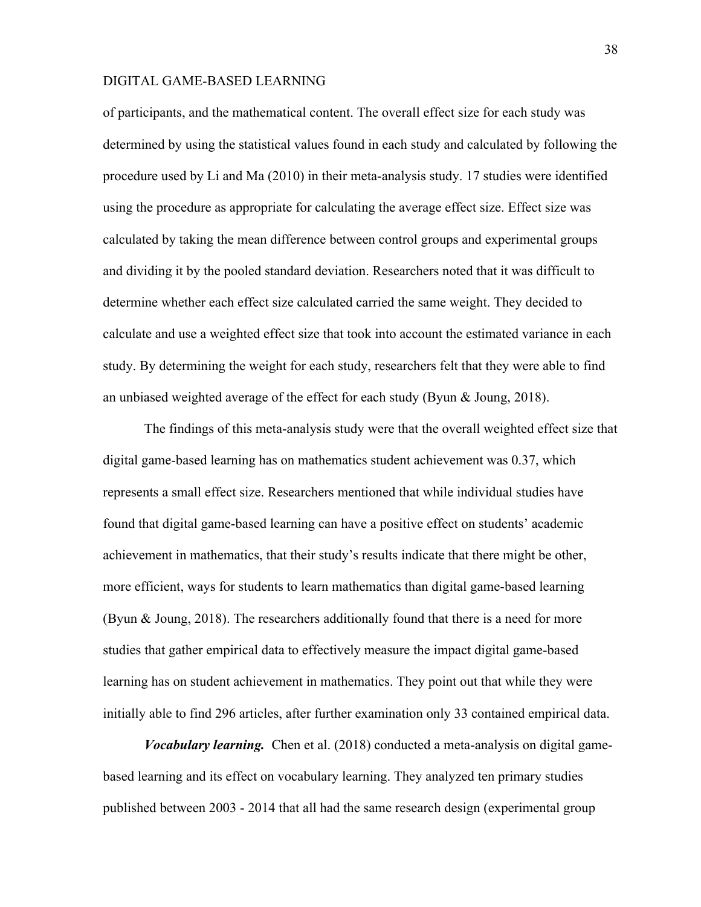of participants, and the mathematical content. The overall effect size for each study was determined by using the statistical values found in each study and calculated by following the procedure used by Li and Ma (2010) in their meta-analysis study. 17 studies were identified using the procedure as appropriate for calculating the average effect size. Effect size was calculated by taking the mean difference between control groups and experimental groups and dividing it by the pooled standard deviation. Researchers noted that it was difficult to determine whether each effect size calculated carried the same weight. They decided to calculate and use a weighted effect size that took into account the estimated variance in each study. By determining the weight for each study, researchers felt that they were able to find an unbiased weighted average of the effect for each study (Byun & Joung, 2018).

The findings of this meta-analysis study were that the overall weighted effect size that digital game-based learning has on mathematics student achievement was 0.37, which represents a small effect size. Researchers mentioned that while individual studies have found that digital game-based learning can have a positive effect on students' academic achievement in mathematics, that their study's results indicate that there might be other, more efficient, ways for students to learn mathematics than digital game-based learning (Byun  $\&$  Joung, 2018). The researchers additionally found that there is a need for more studies that gather empirical data to effectively measure the impact digital game-based learning has on student achievement in mathematics. They point out that while they were initially able to find 296 articles, after further examination only 33 contained empirical data.

*Vocabulary learning.* Chen et al. (2018) conducted a meta-analysis on digital gamebased learning and its effect on vocabulary learning. They analyzed ten primary studies published between 2003 - 2014 that all had the same research design (experimental group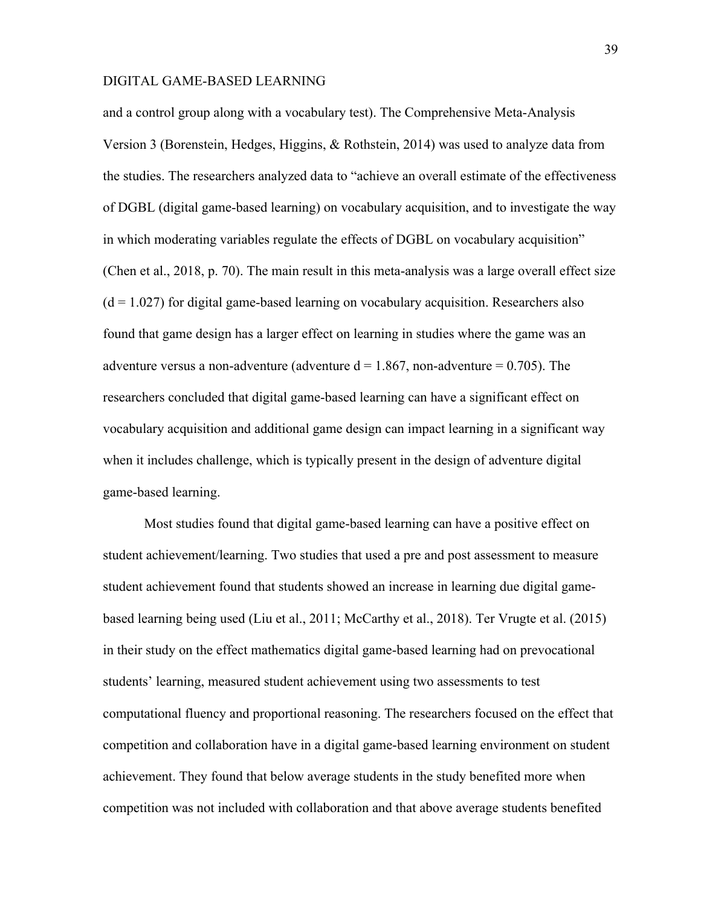and a control group along with a vocabulary test). The Comprehensive Meta-Analysis Version 3 (Borenstein, Hedges, Higgins, & Rothstein, 2014) was used to analyze data from the studies. The researchers analyzed data to "achieve an overall estimate of the effectiveness of DGBL (digital game-based learning) on vocabulary acquisition, and to investigate the way in which moderating variables regulate the effects of DGBL on vocabulary acquisition" (Chen et al., 2018, p. 70). The main result in this meta-analysis was a large overall effect size  $(d = 1.027)$  for digital game-based learning on vocabulary acquisition. Researchers also found that game design has a larger effect on learning in studies where the game was an adventure versus a non-adventure (adventure  $d = 1.867$ , non-adventure = 0.705). The researchers concluded that digital game-based learning can have a significant effect on vocabulary acquisition and additional game design can impact learning in a significant way when it includes challenge, which is typically present in the design of adventure digital game-based learning.

Most studies found that digital game-based learning can have a positive effect on student achievement/learning. Two studies that used a pre and post assessment to measure student achievement found that students showed an increase in learning due digital gamebased learning being used (Liu et al., 2011; McCarthy et al., 2018). Ter Vrugte et al. (2015) in their study on the effect mathematics digital game-based learning had on prevocational students' learning, measured student achievement using two assessments to test computational fluency and proportional reasoning. The researchers focused on the effect that competition and collaboration have in a digital game-based learning environment on student achievement. They found that below average students in the study benefited more when competition was not included with collaboration and that above average students benefited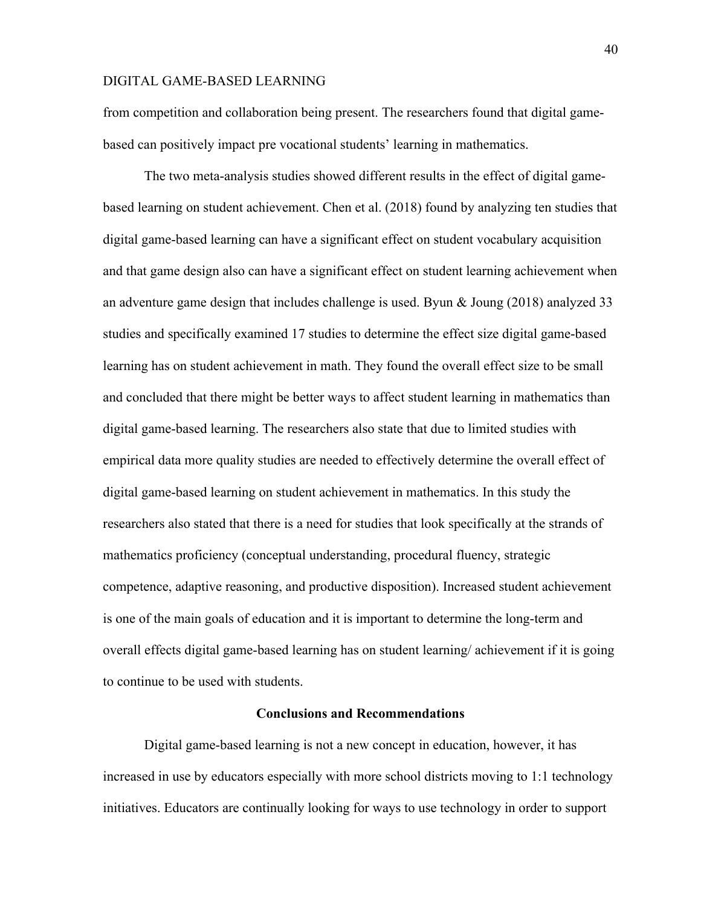from competition and collaboration being present. The researchers found that digital gamebased can positively impact pre vocational students' learning in mathematics.

The two meta-analysis studies showed different results in the effect of digital gamebased learning on student achievement. Chen et al. (2018) found by analyzing ten studies that digital game-based learning can have a significant effect on student vocabulary acquisition and that game design also can have a significant effect on student learning achievement when an adventure game design that includes challenge is used. Byun & Joung (2018) analyzed 33 studies and specifically examined 17 studies to determine the effect size digital game-based learning has on student achievement in math. They found the overall effect size to be small and concluded that there might be better ways to affect student learning in mathematics than digital game-based learning. The researchers also state that due to limited studies with empirical data more quality studies are needed to effectively determine the overall effect of digital game-based learning on student achievement in mathematics. In this study the researchers also stated that there is a need for studies that look specifically at the strands of mathematics proficiency (conceptual understanding, procedural fluency, strategic competence, adaptive reasoning, and productive disposition). Increased student achievement is one of the main goals of education and it is important to determine the long-term and overall effects digital game-based learning has on student learning/ achievement if it is going to continue to be used with students.

### **Conclusions and Recommendations**

Digital game-based learning is not a new concept in education, however, it has increased in use by educators especially with more school districts moving to 1:1 technology initiatives. Educators are continually looking for ways to use technology in order to support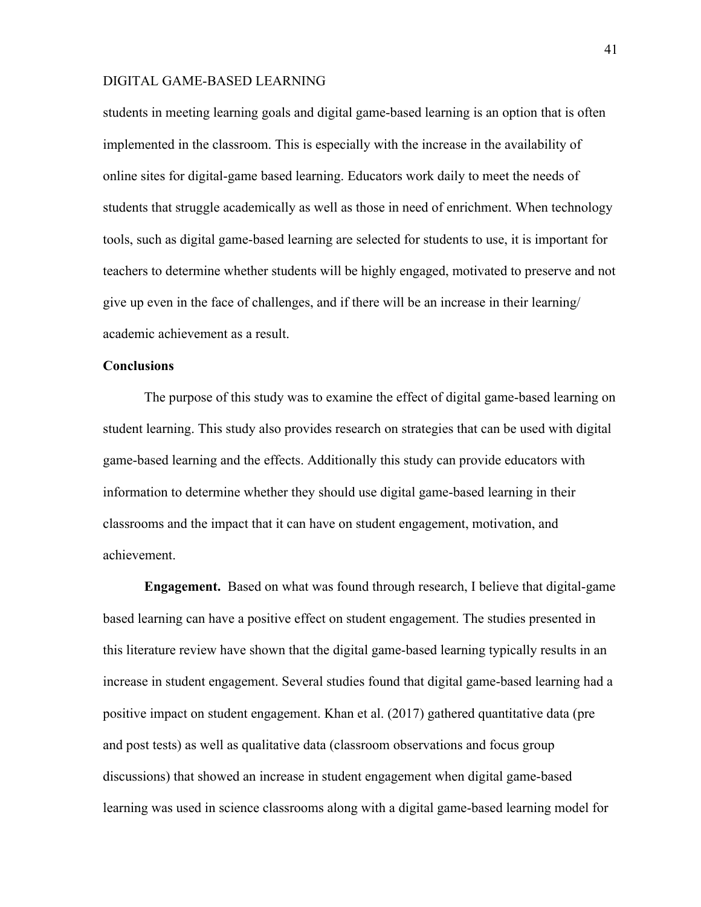students in meeting learning goals and digital game-based learning is an option that is often implemented in the classroom. This is especially with the increase in the availability of online sites for digital-game based learning. Educators work daily to meet the needs of students that struggle academically as well as those in need of enrichment. When technology tools, such as digital game-based learning are selected for students to use, it is important for teachers to determine whether students will be highly engaged, motivated to preserve and not give up even in the face of challenges, and if there will be an increase in their learning/ academic achievement as a result.

### **Conclusions**

The purpose of this study was to examine the effect of digital game-based learning on student learning. This study also provides research on strategies that can be used with digital game-based learning and the effects. Additionally this study can provide educators with information to determine whether they should use digital game-based learning in their classrooms and the impact that it can have on student engagement, motivation, and achievement.

**Engagement.** Based on what was found through research, I believe that digital-game based learning can have a positive effect on student engagement. The studies presented in this literature review have shown that the digital game-based learning typically results in an increase in student engagement. Several studies found that digital game-based learning had a positive impact on student engagement. Khan et al. (2017) gathered quantitative data (pre and post tests) as well as qualitative data (classroom observations and focus group discussions) that showed an increase in student engagement when digital game-based learning was used in science classrooms along with a digital game-based learning model for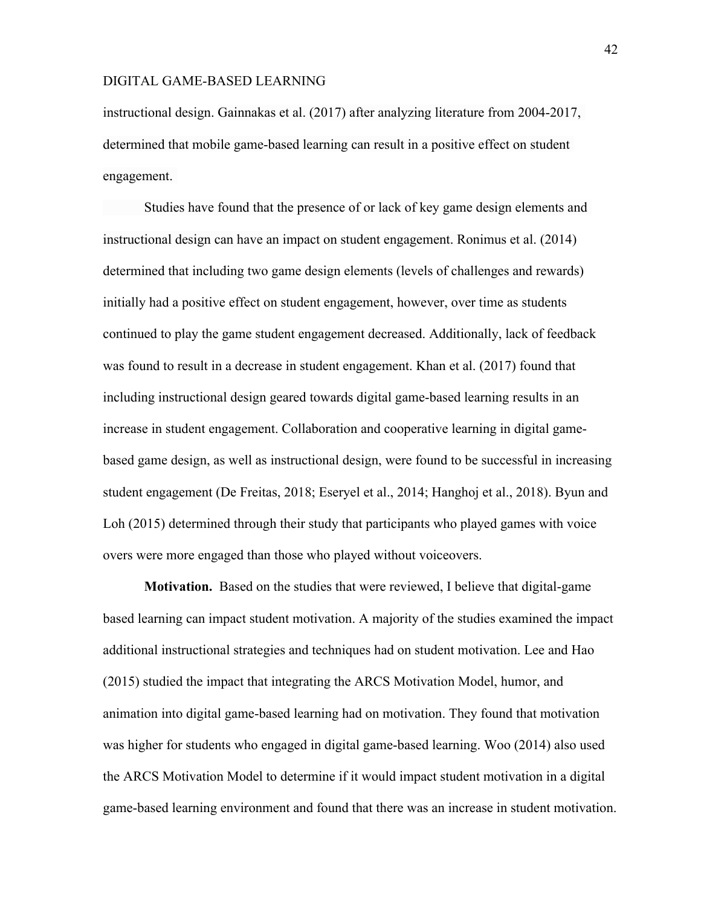instructional design. Gainnakas et al. (2017) after analyzing literature from 2004-2017, determined that mobile game-based learning can result in a positive effect on student engagement.

Studies have found that the presence of or lack of key game design elements and instructional design can have an impact on student engagement. Ronimus et al. (2014) determined that including two game design elements (levels of challenges and rewards) initially had a positive effect on student engagement, however, over time as students continued to play the game student engagement decreased. Additionally, lack of feedback was found to result in a decrease in student engagement. Khan et al. (2017) found that including instructional design geared towards digital game-based learning results in an increase in student engagement. Collaboration and cooperative learning in digital gamebased game design, as well as instructional design, were found to be successful in increasing student engagement (De Freitas, 2018; Eseryel et al., 2014; Hanghoj et al., 2018). Byun and Loh (2015) determined through their study that participants who played games with voice overs were more engaged than those who played without voiceovers.

**Motivation.** Based on the studies that were reviewed, I believe that digital-game based learning can impact student motivation. A majority of the studies examined the impact additional instructional strategies and techniques had on student motivation. Lee and Hao (2015) studied the impact that integrating the ARCS Motivation Model, humor, and animation into digital game-based learning had on motivation. They found that motivation was higher for students who engaged in digital game-based learning. Woo (2014) also used the ARCS Motivation Model to determine if it would impact student motivation in a digital game-based learning environment and found that there was an increase in student motivation.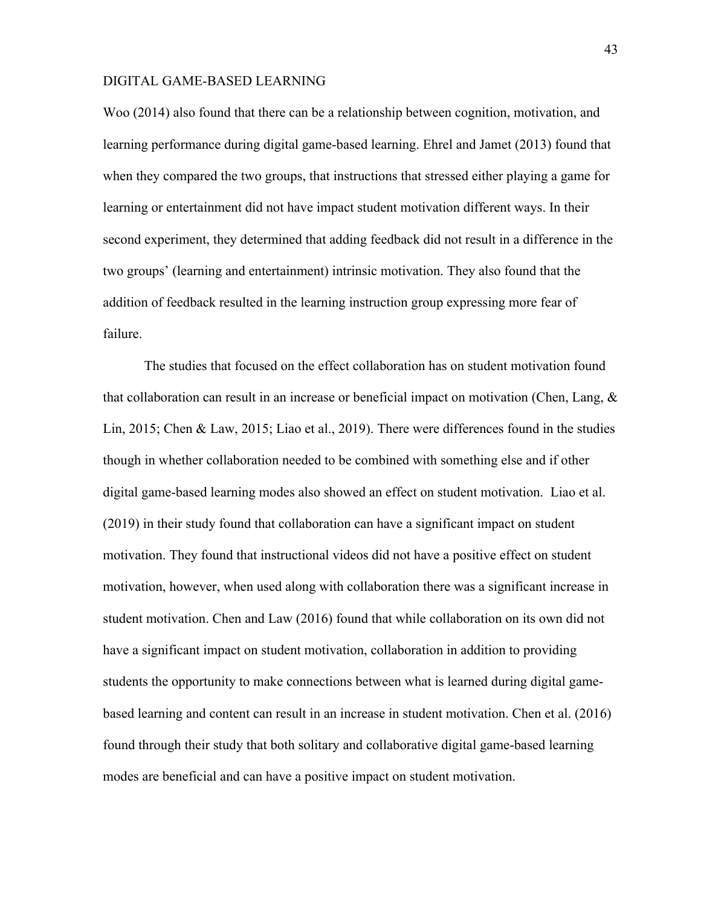Woo (2014) also found that there can be a relationship between cognition, motivation, and learning performance during digital game-based learning. Ehrel and Jamet (2013) found that when they compared the two groups, that instructions that stressed either playing a game for learning or entertainment did not have impact student motivation different ways. In their second experiment, they determined that adding feedback did not result in a difference in the two groups' (learning and entertainment) intrinsic motivation. They also found that the addition of feedback resulted in the learning instruction group expressing more fear of failure.

The studies that focused on the effect collaboration has on student motivation found that collaboration can result in an increase or beneficial impact on motivation (Chen, Lang, & Lin, 2015; Chen & Law, 2015; Liao et al., 2019). There were differences found in the studies though in whether collaboration needed to be combined with something else and if other digital game-based learning modes also showed an effect on student motivation. Liao et al. (2019) in their study found that collaboration can have a significant impact on student motivation. They found that instructional videos did not have a positive effect on student motivation, however, when used along with collaboration there was a significant increase in student motivation. Chen and Law (2016) found that while collaboration on its own did not have a significant impact on student motivation, collaboration in addition to providing students the opportunity to make connections between what is learned during digital gamebased learning and content can result in an increase in student motivation. Chen et al. (2016) found through their study that both solitary and collaborative digital game-based learning modes are beneficial and can have a positive impact on student motivation.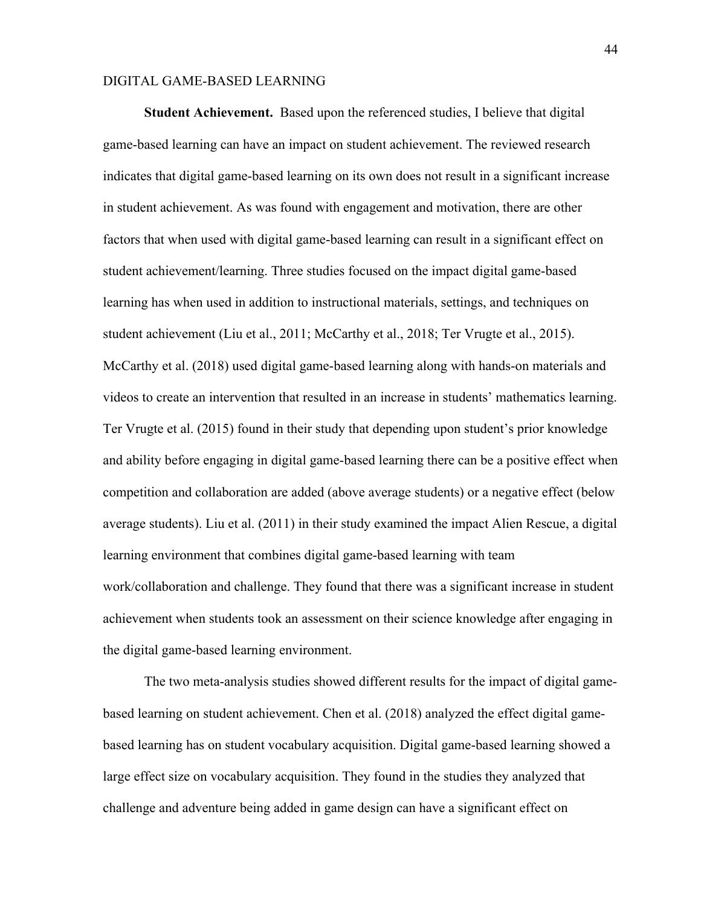**Student Achievement.** Based upon the referenced studies, I believe that digital game-based learning can have an impact on student achievement. The reviewed research indicates that digital game-based learning on its own does not result in a significant increase in student achievement. As was found with engagement and motivation, there are other factors that when used with digital game-based learning can result in a significant effect on student achievement/learning. Three studies focused on the impact digital game-based learning has when used in addition to instructional materials, settings, and techniques on student achievement (Liu et al., 2011; McCarthy et al., 2018; Ter Vrugte et al., 2015). McCarthy et al. (2018) used digital game-based learning along with hands-on materials and videos to create an intervention that resulted in an increase in students' mathematics learning. Ter Vrugte et al. (2015) found in their study that depending upon student's prior knowledge and ability before engaging in digital game-based learning there can be a positive effect when competition and collaboration are added (above average students) or a negative effect (below average students). Liu et al. (2011) in their study examined the impact Alien Rescue, a digital learning environment that combines digital game-based learning with team work/collaboration and challenge. They found that there was a significant increase in student achievement when students took an assessment on their science knowledge after engaging in the digital game-based learning environment.

The two meta-analysis studies showed different results for the impact of digital gamebased learning on student achievement. Chen et al. (2018) analyzed the effect digital gamebased learning has on student vocabulary acquisition. Digital game-based learning showed a large effect size on vocabulary acquisition. They found in the studies they analyzed that challenge and adventure being added in game design can have a significant effect on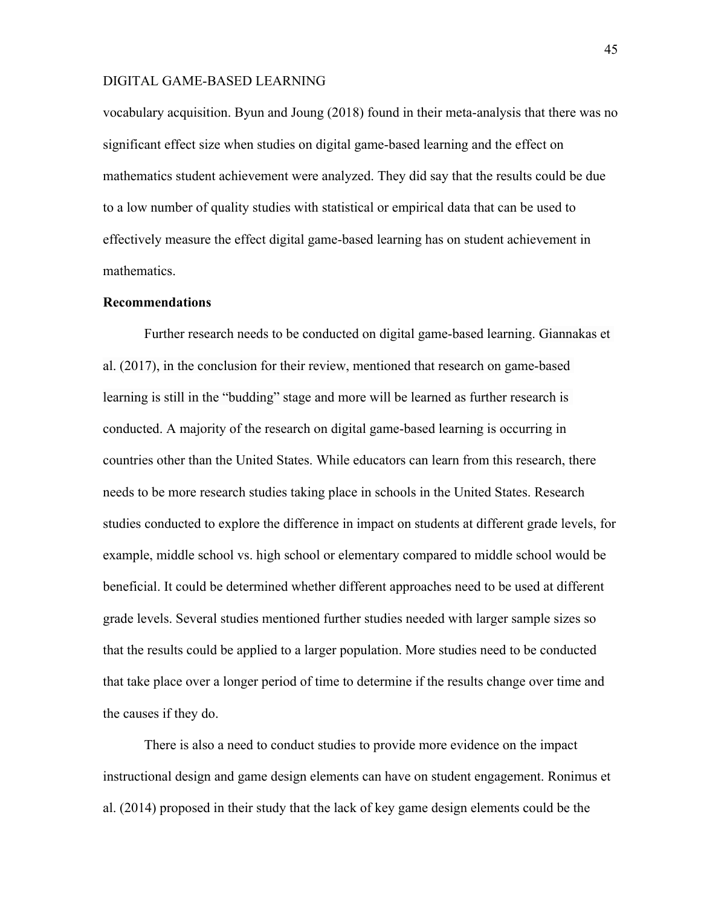vocabulary acquisition. Byun and Joung (2018) found in their meta-analysis that there was no significant effect size when studies on digital game-based learning and the effect on mathematics student achievement were analyzed. They did say that the results could be due to a low number of quality studies with statistical or empirical data that can be used to effectively measure the effect digital game-based learning has on student achievement in mathematics.

#### **Recommendations**

Further research needs to be conducted on digital game-based learning. Giannakas et al. (2017), in the conclusion for their review, mentioned that research on game-based learning is still in the "budding" stage and more will be learned as further research is conducted. A majority of the research on digital game-based learning is occurring in countries other than the United States. While educators can learn from this research, there needs to be more research studies taking place in schools in the United States. Research studies conducted to explore the difference in impact on students at different grade levels, for example, middle school vs. high school or elementary compared to middle school would be beneficial. It could be determined whether different approaches need to be used at different grade levels. Several studies mentioned further studies needed with larger sample sizes so that the results could be applied to a larger population. More studies need to be conducted that take place over a longer period of time to determine if the results change over time and the causes if they do.

There is also a need to conduct studies to provide more evidence on the impact instructional design and game design elements can have on student engagement. Ronimus et al. (2014) proposed in their study that the lack of key game design elements could be the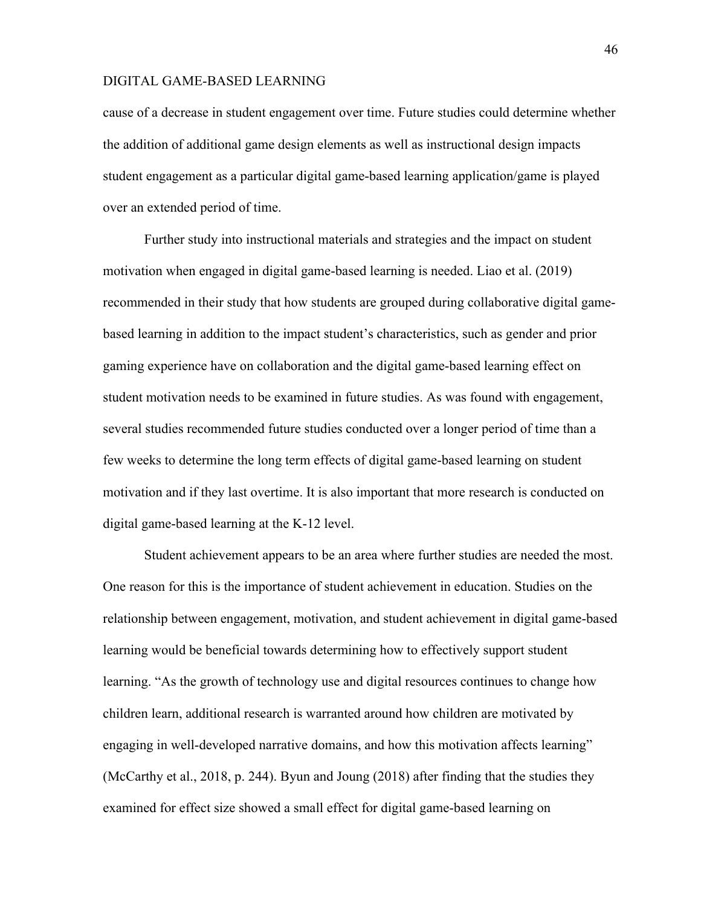cause of a decrease in student engagement over time. Future studies could determine whether the addition of additional game design elements as well as instructional design impacts student engagement as a particular digital game-based learning application/game is played over an extended period of time.

Further study into instructional materials and strategies and the impact on student motivation when engaged in digital game-based learning is needed. Liao et al. (2019) recommended in their study that how students are grouped during collaborative digital gamebased learning in addition to the impact student's characteristics, such as gender and prior gaming experience have on collaboration and the digital game-based learning effect on student motivation needs to be examined in future studies. As was found with engagement, several studies recommended future studies conducted over a longer period of time than a few weeks to determine the long term effects of digital game-based learning on student motivation and if they last overtime. It is also important that more research is conducted on digital game-based learning at the K-12 level.

Student achievement appears to be an area where further studies are needed the most. One reason for this is the importance of student achievement in education. Studies on the relationship between engagement, motivation, and student achievement in digital game-based learning would be beneficial towards determining how to effectively support student learning. "As the growth of technology use and digital resources continues to change how children learn, additional research is warranted around how children are motivated by engaging in well-developed narrative domains, and how this motivation affects learning" (McCarthy et al., 2018, p. 244). Byun and Joung (2018) after finding that the studies they examined for effect size showed a small effect for digital game-based learning on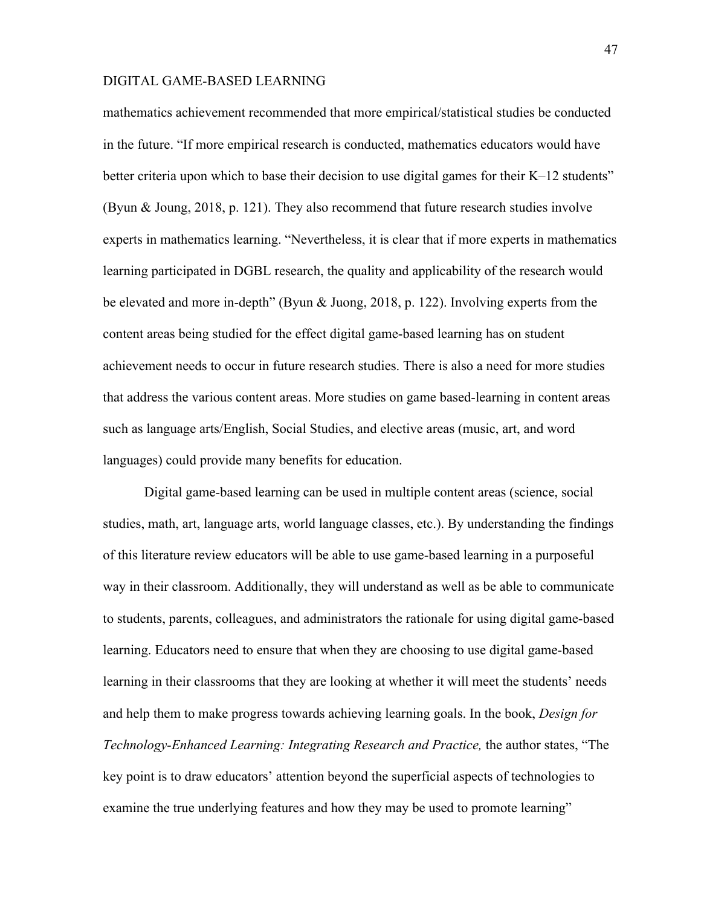mathematics achievement recommended that more empirical/statistical studies be conducted in the future. "If more empirical research is conducted, mathematics educators would have better criteria upon which to base their decision to use digital games for their K–12 students" (Byun & Joung, 2018, p. 121). They also recommend that future research studies involve experts in mathematics learning. "Nevertheless, it is clear that if more experts in mathematics learning participated in DGBL research, the quality and applicability of the research would be elevated and more in-depth" (Byun & Juong, 2018, p. 122). Involving experts from the content areas being studied for the effect digital game-based learning has on student achievement needs to occur in future research studies. There is also a need for more studies that address the various content areas. More studies on game based-learning in content areas such as language arts/English, Social Studies, and elective areas (music, art, and word languages) could provide many benefits for education.

Digital game-based learning can be used in multiple content areas (science, social studies, math, art, language arts, world language classes, etc.). By understanding the findings of this literature review educators will be able to use game-based learning in a purposeful way in their classroom. Additionally, they will understand as well as be able to communicate to students, parents, colleagues, and administrators the rationale for using digital game-based learning. Educators need to ensure that when they are choosing to use digital game-based learning in their classrooms that they are looking at whether it will meet the students' needs and help them to make progress towards achieving learning goals. In the book, *Design for Technology-Enhanced Learning: Integrating Research and Practice,* the author states, "The key point is to draw educators' attention beyond the superficial aspects of technologies to examine the true underlying features and how they may be used to promote learning"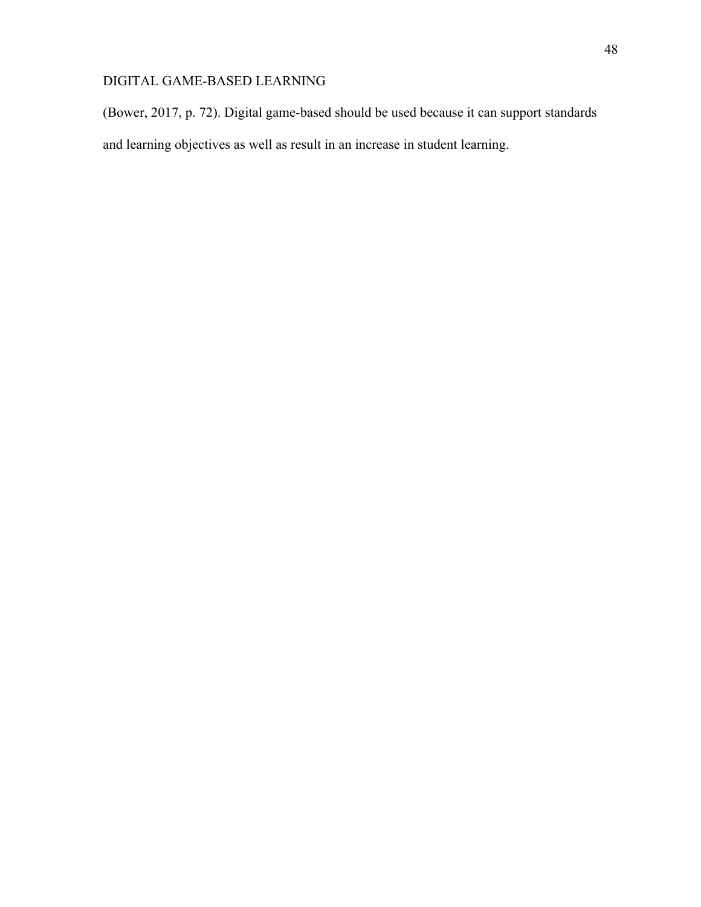(Bower, 2017, p. 72). Digital game-based should be used because it can support standards and learning objectives as well as result in an increase in student learning.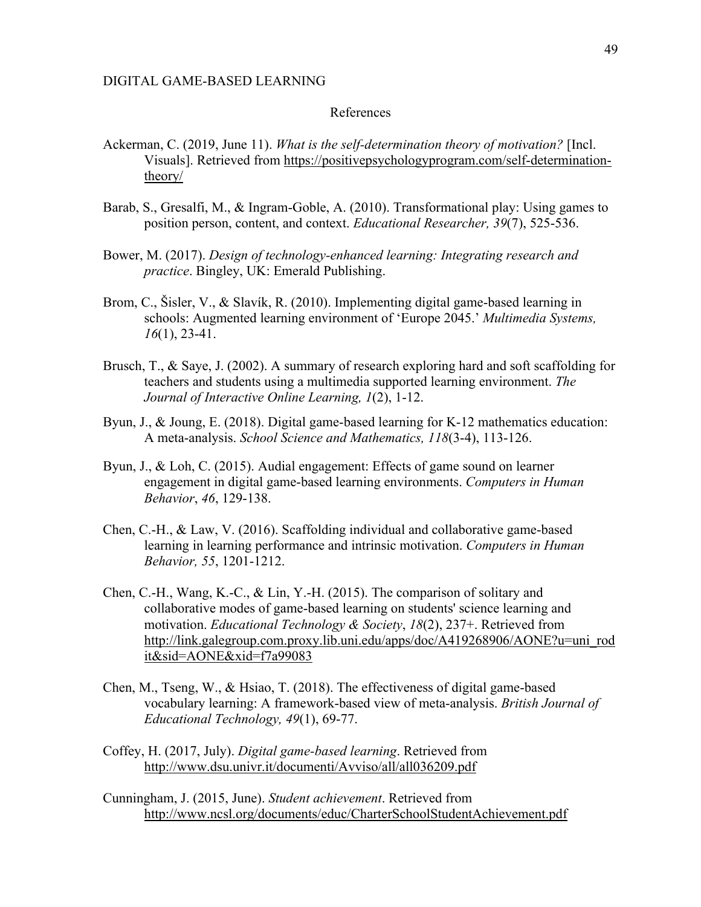#### References

- Ackerman, C. (2019, June 11). *What is the self-determination theory of motivation?* [Incl. Visuals]. Retrieved from https://positivepsychologyprogram.com/self-determinationtheory/
- Barab, S., Gresalfi, M., & Ingram-Goble, A. (2010). Transformational play: Using games to position person, content, and context. *Educational Researcher, 39*(7), 525-536.
- Bower, M. (2017). *Design of technology-enhanced learning: Integrating research and practice*. Bingley, UK: Emerald Publishing.
- Brom, C., Šisler, V., & Slavík, R. (2010). Implementing digital game-based learning in schools: Augmented learning environment of 'Europe 2045.' *Multimedia Systems, 16*(1), 23-41.
- Brusch, T., & Saye, J. (2002). A summary of research exploring hard and soft scaffolding for teachers and students using a multimedia supported learning environment. *The Journal of Interactive Online Learning, 1*(2), 1-12.
- Byun, J., & Joung, E. (2018). Digital game-based learning for K-12 mathematics education: A meta-analysis. *School Science and Mathematics, 118*(3-4), 113-126.
- Byun, J., & Loh, C. (2015). Audial engagement: Effects of game sound on learner engagement in digital game-based learning environments. *Computers in Human Behavior*, *46*, 129-138.
- Chen, C.-H., & Law, V. (2016). Scaffolding individual and collaborative game-based learning in learning performance and intrinsic motivation. *Computers in Human Behavior, 55*, 1201-1212.
- Chen, C.-H., Wang, K.-C.,  $\&$  Lin, Y.-H. (2015). The comparison of solitary and collaborative modes of game-based learning on students' science learning and motivation. *Educational Technology & Society*, *18*(2), 237+. Retrieved from http://link.galegroup.com.proxy.lib.uni.edu/apps/doc/A419268906/AONE?u=uni\_rod it&sid=AONE&xid=f7a99083
- Chen, M., Tseng, W., & Hsiao, T. (2018). The effectiveness of digital game-based vocabulary learning: A framework-based view of meta-analysis. *British Journal of Educational Technology, 49*(1), 69-77.
- Coffey, H. (2017, July). *Digital game-based learning*. Retrieved from http://www.dsu.univr.it/documenti/Avviso/all/all036209.pdf
- Cunningham, J. (2015, June). *Student achievement*. Retrieved from http://www.ncsl.org/documents/educ/CharterSchoolStudentAchievement.pdf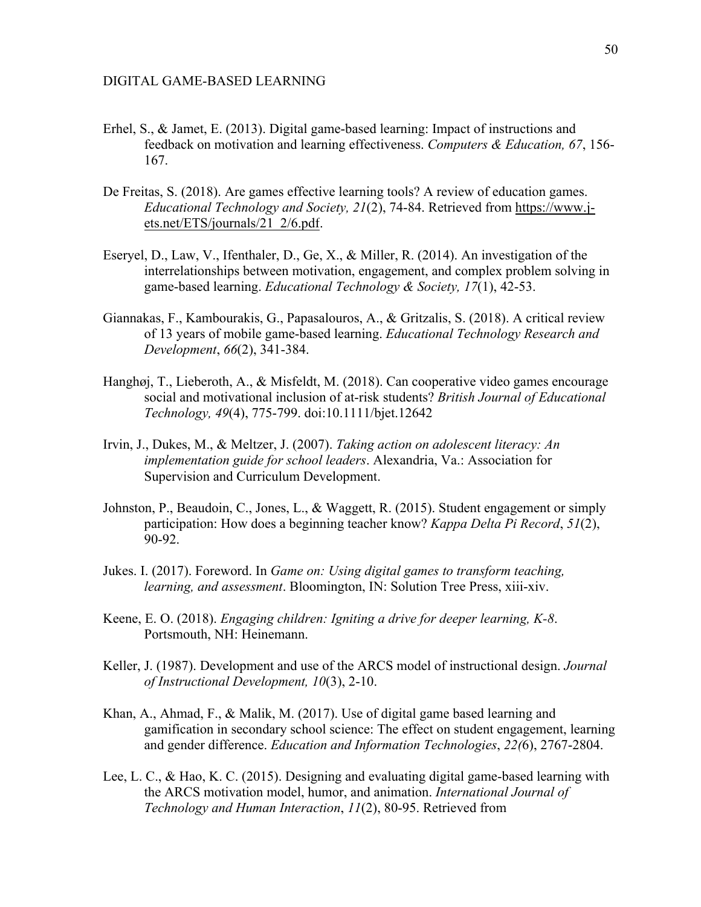- Erhel, S., & Jamet, E. (2013). Digital game-based learning: Impact of instructions and feedback on motivation and learning effectiveness. *Computers & Education, 67*, 156- 167.
- De Freitas, S. (2018). Are games effective learning tools? A review of education games. *Educational Technology and Society, 21*(2), 74-84. Retrieved from https://www.jets.net/ETS/journals/21\_2/6.pdf.
- Eseryel, D., Law, V., Ifenthaler, D., Ge, X., & Miller, R. (2014). An investigation of the interrelationships between motivation, engagement, and complex problem solving in game-based learning. *Educational Technology & Society, 17*(1), 42-53.
- Giannakas, F., Kambourakis, G., Papasalouros, A., & Gritzalis, S. (2018). A critical review of 13 years of mobile game-based learning. *Educational Technology Research and Development*, *66*(2), 341-384.
- Hanghøj, T., Lieberoth, A., & Misfeldt, M. (2018). Can cooperative video games encourage social and motivational inclusion of at-risk students? *British Journal of Educational Technology, 49*(4), 775-799. doi:10.1111/bjet.12642
- Irvin, J., Dukes, M., & Meltzer, J. (2007). *Taking action on adolescent literacy: An implementation guide for school leaders*. Alexandria, Va.: Association for Supervision and Curriculum Development.
- Johnston, P., Beaudoin, C., Jones, L., & Waggett, R. (2015). Student engagement or simply participation: How does a beginning teacher know? *Kappa Delta Pi Record*, *51*(2), 90-92.
- Jukes. I. (2017). Foreword. In *Game on: Using digital games to transform teaching, learning, and assessment*. Bloomington, IN: Solution Tree Press, xiii-xiv.
- Keene, E. O. (2018). *Engaging children: Igniting a drive for deeper learning, K-8*. Portsmouth, NH: Heinemann.
- Keller, J. (1987). Development and use of the ARCS model of instructional design. *Journal of Instructional Development, 10*(3), 2-10.
- Khan, A., Ahmad, F., & Malik, M. (2017). Use of digital game based learning and gamification in secondary school science: The effect on student engagement, learning and gender difference. *Education and Information Technologies*, *22(*6), 2767-2804.
- Lee, L. C., & Hao, K. C. (2015). Designing and evaluating digital game-based learning with the ARCS motivation model, humor, and animation. *International Journal of Technology and Human Interaction*, *11*(2), 80-95. Retrieved from